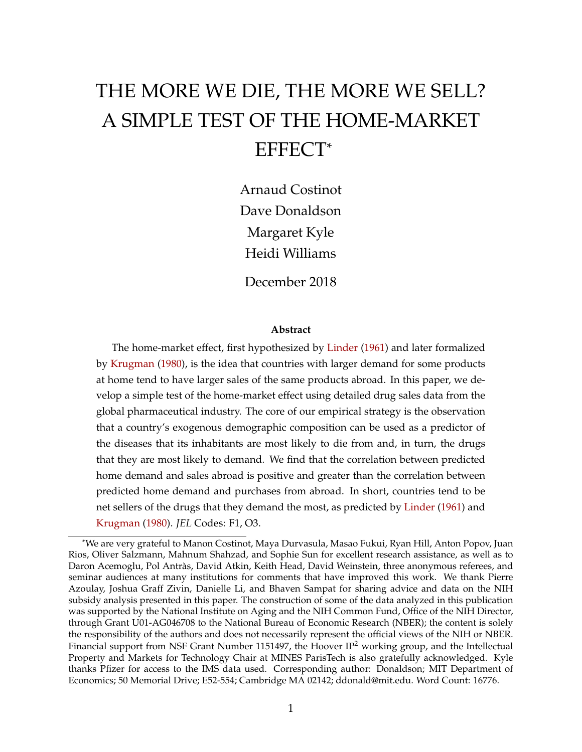# <span id="page-0-0"></span>THE MORE WE DIE, THE MORE WE SELL? A SIMPLE TEST OF THE HOME-MARKET EFFECT\*

Arnaud Costinot Dave Donaldson Margaret Kyle Heidi Williams

December 2018

#### **Abstract**

The home-market effect, first hypothesized by [Linder](#page-42-0) [\(1961\)](#page-42-0) and later formalized by [Krugman](#page-42-1) [\(1980\)](#page-42-1), is the idea that countries with larger demand for some products at home tend to have larger sales of the same products abroad. In this paper, we develop a simple test of the home-market effect using detailed drug sales data from the global pharmaceutical industry. The core of our empirical strategy is the observation that a country's exogenous demographic composition can be used as a predictor of the diseases that its inhabitants are most likely to die from and, in turn, the drugs that they are most likely to demand. We find that the correlation between predicted home demand and sales abroad is positive and greater than the correlation between predicted home demand and purchases from abroad. In short, countries tend to be net sellers of the drugs that they demand the most, as predicted by [Linder](#page-42-0) [\(1961\)](#page-42-0) and [Krugman](#page-42-1) [\(1980\)](#page-42-1). *JEL* Codes: F1, O3.

<sup>\*</sup>We are very grateful to Manon Costinot, Maya Durvasula, Masao Fukui, Ryan Hill, Anton Popov, Juan Rios, Oliver Salzmann, Mahnum Shahzad, and Sophie Sun for excellent research assistance, as well as to Daron Acemoglu, Pol Antràs, David Atkin, Keith Head, David Weinstein, three anonymous referees, and seminar audiences at many institutions for comments that have improved this work. We thank Pierre Azoulay, Joshua Graff Zivin, Danielle Li, and Bhaven Sampat for sharing advice and data on the NIH subsidy analysis presented in this paper. The construction of some of the data analyzed in this publication was supported by the National Institute on Aging and the NIH Common Fund, Office of the NIH Director, through Grant U01-AG046708 to the National Bureau of Economic Research (NBER); the content is solely the responsibility of the authors and does not necessarily represent the official views of the NIH or NBER. Financial support from NSF Grant Number 1151497, the Hoover  $IP<sup>2</sup>$  working group, and the Intellectual Property and Markets for Technology Chair at MINES ParisTech is also gratefully acknowledged. Kyle thanks Pfizer for access to the IMS data used. Corresponding author: Donaldson; MIT Department of Economics; 50 Memorial Drive; E52-554; Cambridge MA 02142; ddonald@mit.edu. Word Count: 16776.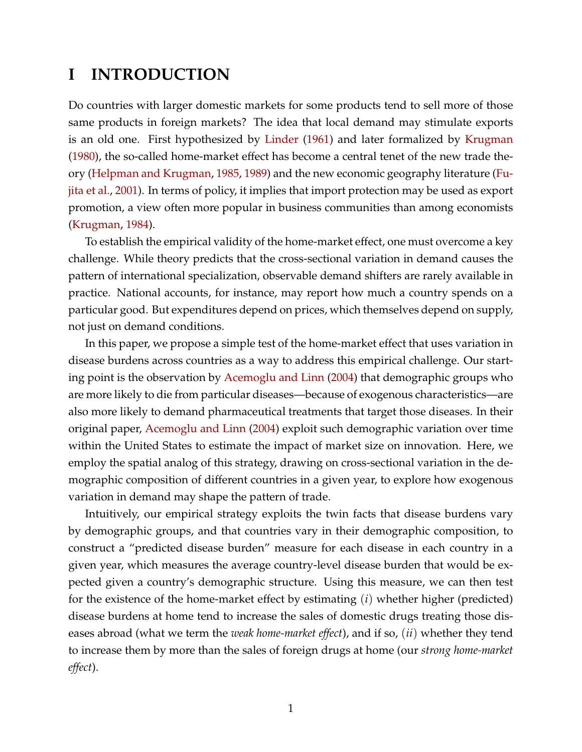## **I INTRODUCTION**

Do countries with larger domestic markets for some products tend to sell more of those same products in foreign markets? The idea that local demand may stimulate exports is an old one. First hypothesized by [Linder](#page-42-0) [\(1961\)](#page-42-0) and later formalized by [Krugman](#page-42-1) [\(1980\)](#page-42-1), the so-called home-market effect has become a central tenet of the new trade theory [\(Helpman and Krugman,](#page-41-0) [1985,](#page-41-0) [1989\)](#page-41-1) and the new economic geography literature [\(Fu](#page-41-2)[jita et al.,](#page-41-2) [2001\)](#page-41-2). In terms of policy, it implies that import protection may be used as export promotion, a view often more popular in business communities than among economists [\(Krugman,](#page-42-2) [1984\)](#page-42-2).

To establish the empirical validity of the home-market effect, one must overcome a key challenge. While theory predicts that the cross-sectional variation in demand causes the pattern of international specialization, observable demand shifters are rarely available in practice. National accounts, for instance, may report how much a country spends on a particular good. But expenditures depend on prices, which themselves depend on supply, not just on demand conditions.

In this paper, we propose a simple test of the home-market effect that uses variation in disease burdens across countries as a way to address this empirical challenge. Our starting point is the observation by [Acemoglu and Linn](#page-39-0) [\(2004\)](#page-39-0) that demographic groups who are more likely to die from particular diseases—because of exogenous characteristics—are also more likely to demand pharmaceutical treatments that target those diseases. In their original paper, [Acemoglu and Linn](#page-39-0) [\(2004\)](#page-39-0) exploit such demographic variation over time within the United States to estimate the impact of market size on innovation. Here, we employ the spatial analog of this strategy, drawing on cross-sectional variation in the demographic composition of different countries in a given year, to explore how exogenous variation in demand may shape the pattern of trade.

Intuitively, our empirical strategy exploits the twin facts that disease burdens vary by demographic groups, and that countries vary in their demographic composition, to construct a "predicted disease burden" measure for each disease in each country in a given year, which measures the average country-level disease burden that would be expected given a country's demographic structure. Using this measure, we can then test for the existence of the home-market effect by estimating (*i*) whether higher (predicted) disease burdens at home tend to increase the sales of domestic drugs treating those diseases abroad (what we term the *weak home-market effect*), and if so, (*ii*) whether they tend to increase them by more than the sales of foreign drugs at home (our *strong home-market effect*).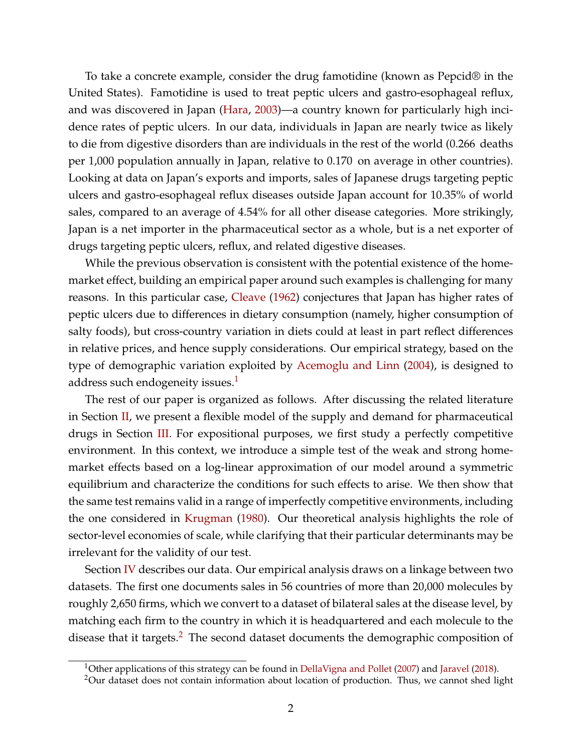To take a concrete example, consider the drug famotidine (known as Pepcid® in the United States). Famotidine is used to treat peptic ulcers and gastro-esophageal reflux, and was discovered in Japan [\(Hara,](#page-41-3) [2003\)](#page-41-3)—a country known for particularly high incidence rates of peptic ulcers. In our data, individuals in Japan are nearly twice as likely to die from digestive disorders than are individuals in the rest of the world (0.266 deaths per 1,000 population annually in Japan, relative to 0.170 on average in other countries). Looking at data on Japan's exports and imports, sales of Japanese drugs targeting peptic ulcers and gastro-esophageal reflux diseases outside Japan account for 10.35% of world sales, compared to an average of 4.54% for all other disease categories. More strikingly, Japan is a net importer in the pharmaceutical sector as a whole, but is a net exporter of drugs targeting peptic ulcers, reflux, and related digestive diseases.

While the previous observation is consistent with the potential existence of the homemarket effect, building an empirical paper around such examples is challenging for many reasons. In this particular case, [Cleave](#page-40-0) [\(1962\)](#page-40-0) conjectures that Japan has higher rates of peptic ulcers due to differences in dietary consumption (namely, higher consumption of salty foods), but cross-country variation in diets could at least in part reflect differences in relative prices, and hence supply considerations. Our empirical strategy, based on the type of demographic variation exploited by [Acemoglu and Linn](#page-39-0) [\(2004\)](#page-39-0), is designed to address such endogeneity issues.<sup>[1](#page-2-0)</sup>

The rest of our paper is organized as follows. After discussing the related literature in Section [II,](#page-3-0) we present a flexible model of the supply and demand for pharmaceutical drugs in Section [III.](#page-5-0) For expositional purposes, we first study a perfectly competitive environment. In this context, we introduce a simple test of the weak and strong homemarket effects based on a log-linear approximation of our model around a symmetric equilibrium and characterize the conditions for such effects to arise. We then show that the same test remains valid in a range of imperfectly competitive environments, including the one considered in [Krugman](#page-42-1) [\(1980\)](#page-42-1). Our theoretical analysis highlights the role of sector-level economies of scale, while clarifying that their particular determinants may be irrelevant for the validity of our test.

Section [IV](#page-17-0) describes our data. Our empirical analysis draws on a linkage between two datasets. The first one documents sales in 56 countries of more than 20,000 molecules by roughly 2,650 firms, which we convert to a dataset of bilateral sales at the disease level, by matching each firm to the country in which it is headquartered and each molecule to the disease that it targets.<sup>[2](#page-2-1)</sup> The second dataset documents the demographic composition of

<span id="page-2-0"></span><sup>&</sup>lt;sup>1</sup>Other applications of this strategy can be found in [DellaVigna and Pollet](#page-40-1) [\(2007\)](#page-40-1) and [Jaravel](#page-42-3) [\(2018\)](#page-42-3).

<span id="page-2-1"></span><sup>&</sup>lt;sup>2</sup>Our dataset does not contain information about location of production. Thus, we cannot shed light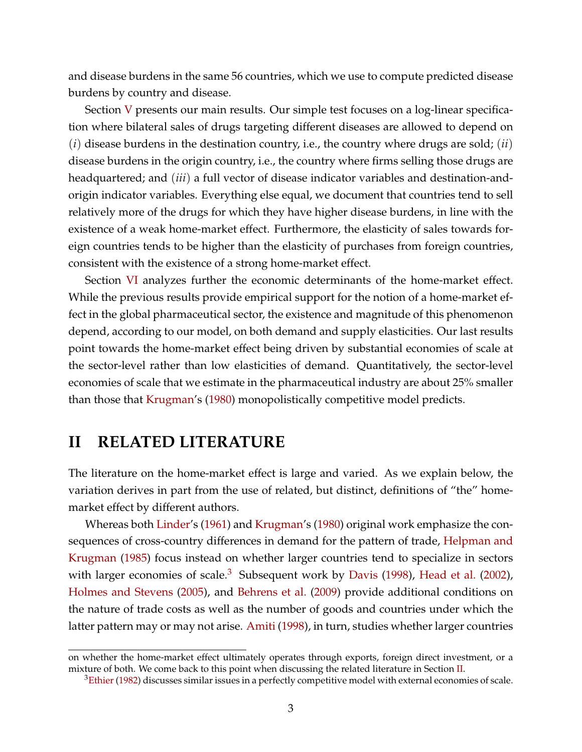and disease burdens in the same 56 countries, which we use to compute predicted disease burdens by country and disease.

Section [V](#page-22-0) presents our main results. Our simple test focuses on a log-linear specification where bilateral sales of drugs targeting different diseases are allowed to depend on (*i*) disease burdens in the destination country, i.e., the country where drugs are sold; (*ii*) disease burdens in the origin country, i.e., the country where firms selling those drugs are headquartered; and (*iii*) a full vector of disease indicator variables and destination-andorigin indicator variables. Everything else equal, we document that countries tend to sell relatively more of the drugs for which they have higher disease burdens, in line with the existence of a weak home-market effect. Furthermore, the elasticity of sales towards foreign countries tends to be higher than the elasticity of purchases from foreign countries, consistent with the existence of a strong home-market effect.

Section [VI](#page-32-0) analyzes further the economic determinants of the home-market effect. While the previous results provide empirical support for the notion of a home-market effect in the global pharmaceutical sector, the existence and magnitude of this phenomenon depend, according to our model, on both demand and supply elasticities. Our last results point towards the home-market effect being driven by substantial economies of scale at the sector-level rather than low elasticities of demand. Quantitatively, the sector-level economies of scale that we estimate in the pharmaceutical industry are about 25% smaller than those that [Krugman'](#page-42-1)s [\(1980\)](#page-42-1) monopolistically competitive model predicts.

## <span id="page-3-0"></span>**II RELATED LITERATURE**

The literature on the home-market effect is large and varied. As we explain below, the variation derives in part from the use of related, but distinct, definitions of "the" homemarket effect by different authors.

Whereas both [Linder'](#page-42-0)s [\(1961\)](#page-42-0) and [Krugman'](#page-42-1)s [\(1980\)](#page-42-1) original work emphasize the consequences of cross-country differences in demand for the pattern of trade, [Helpman and](#page-41-0) [Krugman](#page-41-0) [\(1985\)](#page-41-0) focus instead on whether larger countries tend to specialize in sectors with larger economies of scale. $3$  Subsequent work by [Davis](#page-40-2) [\(1998\)](#page-40-2), [Head et al.](#page-41-4) [\(2002\)](#page-41-4), [Holmes and Stevens](#page-42-4) [\(2005\)](#page-42-4), and [Behrens et al.](#page-39-1) [\(2009\)](#page-39-1) provide additional conditions on the nature of trade costs as well as the number of goods and countries under which the latter pattern may or may not arise. [Amiti](#page-39-2) [\(1998\)](#page-39-2), in turn, studies whether larger countries

on whether the home-market effect ultimately operates through exports, foreign direct investment, or a mixture of both. We come back to this point when discussing the related literature in Section [II.](#page-3-0)

<span id="page-3-1"></span> ${}^{3}$ [Ethier](#page-40-3) [\(1982\)](#page-40-3) discusses similar issues in a perfectly competitive model with external economies of scale.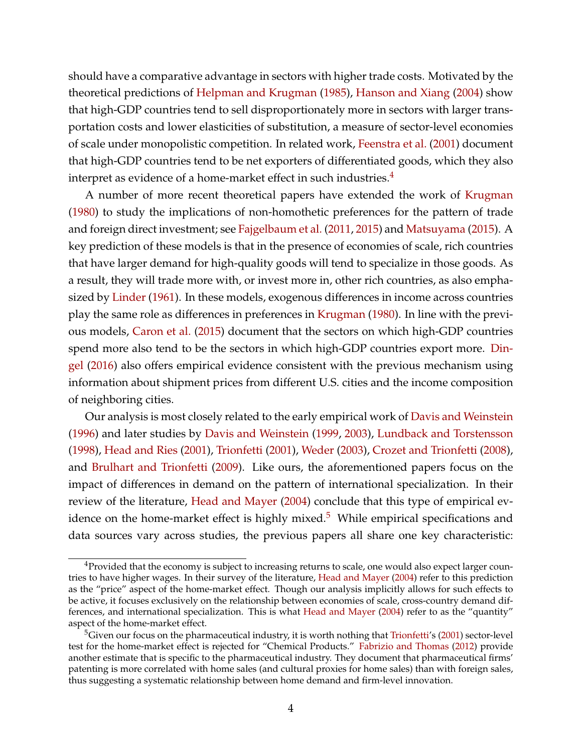should have a comparative advantage in sectors with higher trade costs. Motivated by the theoretical predictions of [Helpman and Krugman](#page-41-0) [\(1985\)](#page-41-0), [Hanson and Xiang](#page-41-5) [\(2004\)](#page-41-5) show that high-GDP countries tend to sell disproportionately more in sectors with larger transportation costs and lower elasticities of substitution, a measure of sector-level economies of scale under monopolistic competition. In related work, [Feenstra et al.](#page-41-6) [\(2001\)](#page-41-6) document that high-GDP countries tend to be net exporters of differentiated goods, which they also interpret as evidence of a home-market effect in such industries.<sup>[4](#page-4-0)</sup>

A number of more recent theoretical papers have extended the work of [Krugman](#page-42-1) [\(1980\)](#page-42-1) to study the implications of non-homothetic preferences for the pattern of trade and foreign direct investment; see [Fajgelbaum et al.](#page-40-4) [\(2011,](#page-40-4) [2015\)](#page-41-7) and [Matsuyama](#page-42-5) [\(2015\)](#page-42-5). A key prediction of these models is that in the presence of economies of scale, rich countries that have larger demand for high-quality goods will tend to specialize in those goods. As a result, they will trade more with, or invest more in, other rich countries, as also emphasized by [Linder](#page-42-0) [\(1961\)](#page-42-0). In these models, exogenous differences in income across countries play the same role as differences in preferences in [Krugman](#page-42-1) [\(1980\)](#page-42-1). In line with the previous models, [Caron et al.](#page-39-3) [\(2015\)](#page-39-3) document that the sectors on which high-GDP countries spend more also tend to be the sectors in which high-GDP countries export more. [Din](#page-40-5)[gel](#page-40-5) [\(2016\)](#page-40-5) also offers empirical evidence consistent with the previous mechanism using information about shipment prices from different U.S. cities and the income composition of neighboring cities.

Our analysis is most closely related to the early empirical work of [Davis and Weinstein](#page-40-6) [\(1996\)](#page-40-6) and later studies by [Davis and Weinstein](#page-40-7) [\(1999,](#page-40-7) [2003\)](#page-40-8), [Lundback and Torstensson](#page-42-6) [\(1998\)](#page-42-6), [Head and Ries](#page-41-8) [\(2001\)](#page-41-8), [Trionfetti](#page-43-0) [\(2001\)](#page-43-0), [Weder](#page-43-1) [\(2003\)](#page-43-1), [Crozet and Trionfetti](#page-40-9) [\(2008\)](#page-40-9), and [Brulhart and Trionfetti](#page-39-4) [\(2009\)](#page-39-4). Like ours, the aforementioned papers focus on the impact of differences in demand on the pattern of international specialization. In their review of the literature, [Head and Mayer](#page-41-9) [\(2004\)](#page-41-9) conclude that this type of empirical evidence on the home-market effect is highly mixed. $5$  While empirical specifications and data sources vary across studies, the previous papers all share one key characteristic:

<span id="page-4-0"></span> $^{4}$ Provided that the economy is subject to increasing returns to scale, one would also expect larger countries to have higher wages. In their survey of the literature, [Head and Mayer](#page-41-9) [\(2004\)](#page-41-9) refer to this prediction as the "price" aspect of the home-market effect. Though our analysis implicitly allows for such effects to be active, it focuses exclusively on the relationship between economies of scale, cross-country demand differences, and international specialization. This is what [Head and Mayer](#page-41-9) [\(2004\)](#page-41-9) refer to as the "quantity" aspect of the home-market effect.

<span id="page-4-1"></span><sup>&</sup>lt;sup>5</sup>Given our focus on the pharmaceutical industry, it is worth nothing that [Trionfetti'](#page-43-0)s [\(2001\)](#page-43-0) sector-level test for the home-market effect is rejected for "Chemical Products." [Fabrizio and Thomas](#page-40-10) [\(2012\)](#page-40-10) provide another estimate that is specific to the pharmaceutical industry. They document that pharmaceutical firms' patenting is more correlated with home sales (and cultural proxies for home sales) than with foreign sales, thus suggesting a systematic relationship between home demand and firm-level innovation.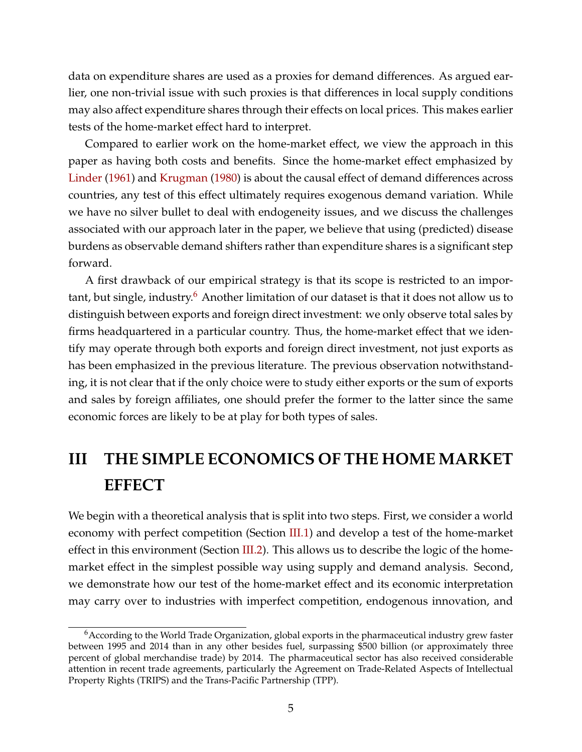data on expenditure shares are used as a proxies for demand differences. As argued earlier, one non-trivial issue with such proxies is that differences in local supply conditions may also affect expenditure shares through their effects on local prices. This makes earlier tests of the home-market effect hard to interpret.

Compared to earlier work on the home-market effect, we view the approach in this paper as having both costs and benefits. Since the home-market effect emphasized by [Linder](#page-42-0) [\(1961\)](#page-42-0) and [Krugman](#page-42-1) [\(1980\)](#page-42-1) is about the causal effect of demand differences across countries, any test of this effect ultimately requires exogenous demand variation. While we have no silver bullet to deal with endogeneity issues, and we discuss the challenges associated with our approach later in the paper, we believe that using (predicted) disease burdens as observable demand shifters rather than expenditure shares is a significant step forward.

A first drawback of our empirical strategy is that its scope is restricted to an important, but single, industry. $6$  Another limitation of our dataset is that it does not allow us to distinguish between exports and foreign direct investment: we only observe total sales by firms headquartered in a particular country. Thus, the home-market effect that we identify may operate through both exports and foreign direct investment, not just exports as has been emphasized in the previous literature. The previous observation notwithstanding, it is not clear that if the only choice were to study either exports or the sum of exports and sales by foreign affiliates, one should prefer the former to the latter since the same economic forces are likely to be at play for both types of sales.

## <span id="page-5-0"></span>**III THE SIMPLE ECONOMICS OF THE HOME MARKET EFFECT**

We begin with a theoretical analysis that is split into two steps. First, we consider a world economy with perfect competition (Section [III.1\)](#page-6-0) and develop a test of the home-market effect in this environment (Section [III.2\)](#page-7-0). This allows us to describe the logic of the homemarket effect in the simplest possible way using supply and demand analysis. Second, we demonstrate how our test of the home-market effect and its economic interpretation may carry over to industries with imperfect competition, endogenous innovation, and

<span id="page-5-1"></span><sup>&</sup>lt;sup>6</sup> According to the World Trade Organization, global exports in the pharmaceutical industry grew faster between 1995 and 2014 than in any other besides fuel, surpassing \$500 billion (or approximately three percent of global merchandise trade) by 2014. The pharmaceutical sector has also received considerable attention in recent trade agreements, particularly the Agreement on Trade-Related Aspects of Intellectual Property Rights (TRIPS) and the Trans-Pacific Partnership (TPP).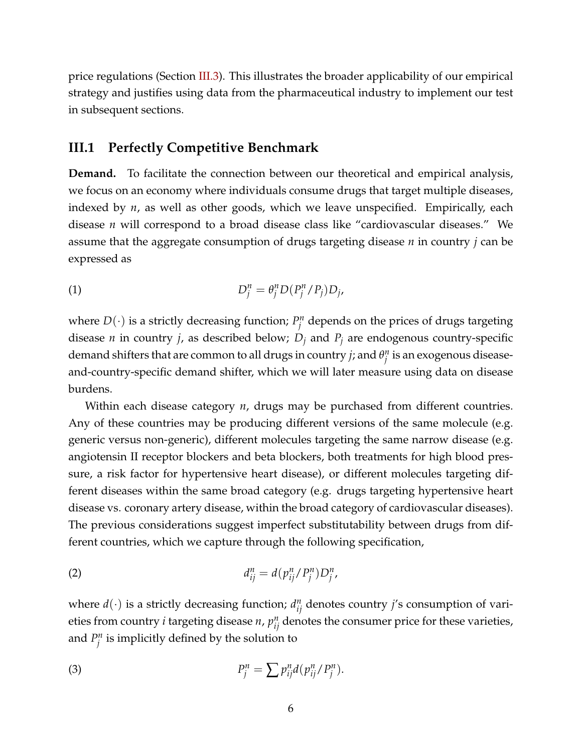price regulations (Section [III.3\)](#page-12-0). This illustrates the broader applicability of our empirical strategy and justifies using data from the pharmaceutical industry to implement our test in subsequent sections.

#### <span id="page-6-0"></span>**III.1 Perfectly Competitive Benchmark**

**Demand.** To facilitate the connection between our theoretical and empirical analysis, we focus on an economy where individuals consume drugs that target multiple diseases, indexed by *n*, as well as other goods, which we leave unspecified. Empirically, each disease *n* will correspond to a broad disease class like "cardiovascular diseases." We assume that the aggregate consumption of drugs targeting disease *n* in country *j* can be expressed as

<span id="page-6-1"></span>
$$
(1) \tD_j^n = \theta_j^n D(P_j^n/P_j) D_j,
$$

where  $D(\cdot)$  is a strictly decreasing function;  $P_i^n$  $j^n_j$  depends on the prices of drugs targeting disease *n* in country *j*, as described below;  $D_j$  and  $P_j$  are endogenous country-specific demand shifters that are common to all drugs in country *j*; and *θ n*  $^n_j$  is an exogenous diseaseand-country-specific demand shifter, which we will later measure using data on disease burdens.

Within each disease category *n*, drugs may be purchased from different countries. Any of these countries may be producing different versions of the same molecule (e.g. generic versus non-generic), different molecules targeting the same narrow disease (e.g. angiotensin II receptor blockers and beta blockers, both treatments for high blood pressure, a risk factor for hypertensive heart disease), or different molecules targeting different diseases within the same broad category (e.g. drugs targeting hypertensive heart disease vs. coronary artery disease, within the broad category of cardiovascular diseases). The previous considerations suggest imperfect substitutability between drugs from different countries, which we capture through the following specification,

<span id="page-6-3"></span>
$$
d_{ij}^n = d(p_{ij}^n/P_j^n)D_j^n,
$$

where  $d(\cdot)$  is a strictly decreasing function;  $d_{ij}^n$  denotes country *j'*s consumption of varieties from country *i* targeting disease *n*,  $p_{ij}^n$  denotes the consumer price for these varieties, and  $P_i^n$  $j^n_j$  is implicitly defined by the solution to

<span id="page-6-2"></span>(3) 
$$
P_j^n = \sum p_{ij}^n d(p_{ij}^n/P_j^n).
$$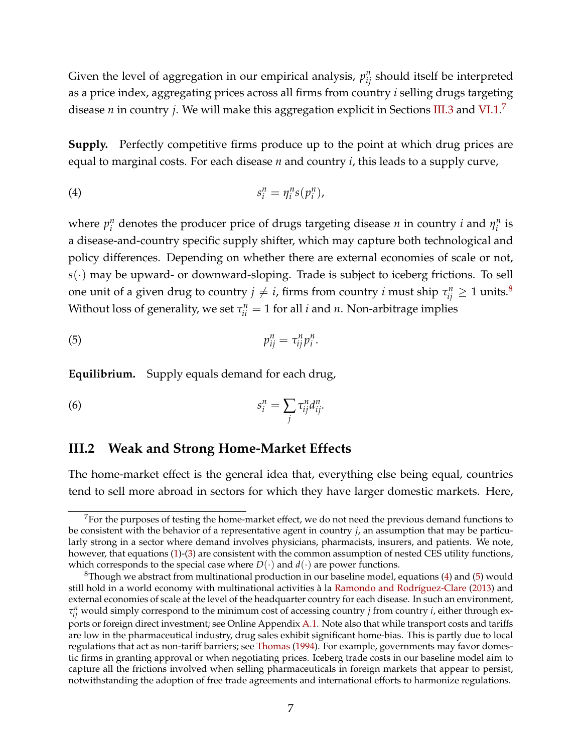Given the level of aggregation in our empirical analysis,  $p_{ij}^n$  should itself be interpreted as a price index, aggregating prices across all firms from country *i* selling drugs targeting disease *n* in country *j*. We will make this aggregation explicit in Sections [III.3](#page-12-0) and [VI.1.](#page-32-1) [7](#page-7-1)

**Supply.** Perfectly competitive firms produce up to the point at which drug prices are equal to marginal costs. For each disease *n* and country *i*, this leads to a supply curve,

<span id="page-7-3"></span>
$$
s_i^n = \eta_i^n s(p_i^n),
$$

where  $p_i^n$  $\sum_{i=1}^{n}$  denotes the producer price of drugs targeting disease *n* in country *i* and  $\eta_i^n$  $\prod_{i=1}^{n}$  is a disease-and-country specific supply shifter, which may capture both technological and policy differences. Depending on whether there are external economies of scale or not, *s*(·) may be upward- or downward-sloping. Trade is subject to iceberg frictions. To sell one unit of a given drug to country  $j \neq i$ , firms from country  $i$  must ship  $\tau_{ij}^n \geq 1$  units. $^8$  $^8$ Without loss of generality, we set  $\tau_{ii}^n = 1$  for all *i* and *n*. Non-arbitrage implies

<span id="page-7-4"></span>
$$
p_{ij}^n = \tau_{ij}^n p_i^n.
$$

**Equilibrium.** Supply equals demand for each drug,

<span id="page-7-5"></span>(6) 
$$
s_i^n = \sum_j \tau_{ij}^n d_{ij}^n.
$$

#### <span id="page-7-0"></span>**III.2 Weak and Strong Home-Market Effects**

The home-market effect is the general idea that, everything else being equal, countries tend to sell more abroad in sectors for which they have larger domestic markets. Here,

<span id="page-7-1"></span> $\gamma$  For the purposes of testing the home-market effect, we do not need the previous demand functions to be consistent with the behavior of a representative agent in country *j*, an assumption that may be particularly strong in a sector where demand involves physicians, pharmacists, insurers, and patients. We note, however, that equations [\(1\)](#page-6-1)-[\(3\)](#page-6-2) are consistent with the common assumption of nested CES utility functions, which corresponds to the special case where  $D(\cdot)$  and  $d(\cdot)$  are power functions.

<span id="page-7-2"></span><sup>8</sup>Though we abstract from multinational production in our baseline model, equations [\(4\)](#page-7-3) and [\(5\)](#page-7-4) would still hold in a world economy with multinational activities à la [Ramondo and Rodríguez-Clare](#page-42-7) [\(2013\)](#page-42-7) and external economies of scale at the level of the headquarter country for each disease. In such an environment, *τ n ij* would simply correspond to the minimum cost of accessing country *j* from country *i*, either through exports or foreign direct investment; see Online Appendix [A.1.](#page-0-0) Note also that while transport costs and tariffs are low in the pharmaceutical industry, drug sales exhibit significant home-bias. This is partly due to local regulations that act as non-tariff barriers; see [Thomas](#page-43-2) [\(1994\)](#page-43-2). For example, governments may favor domestic firms in granting approval or when negotiating prices. Iceberg trade costs in our baseline model aim to capture all the frictions involved when selling pharmaceuticals in foreign markets that appear to persist, notwithstanding the adoption of free trade agreements and international efforts to harmonize regulations.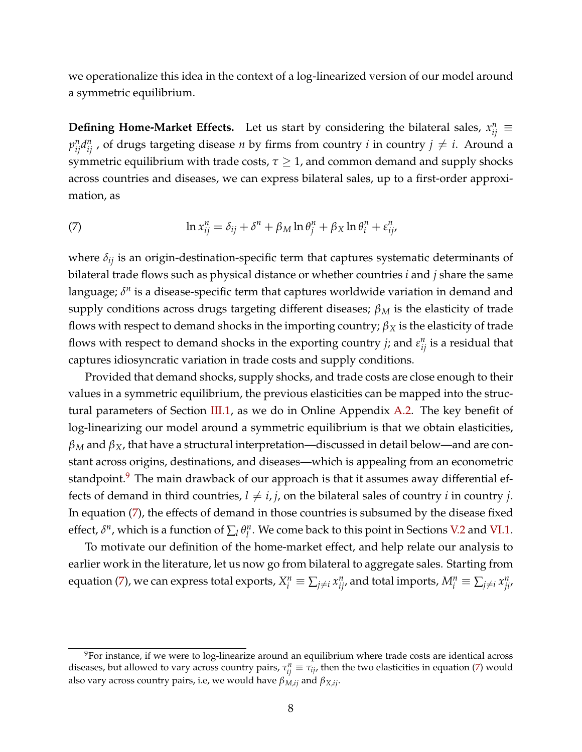we operationalize this idea in the context of a log-linearized version of our model around a symmetric equilibrium.

**Defining Home-Market Effects.** Let us start by considering the bilateral sales,  $x_{ij}^n \equiv$  $p_{ij}^n d_{ij}^n$  , of drugs targeting disease *n* by firms from country *i* in country  $j \neq i$ . Around a symmetric equilibrium with trade costs,  $\tau \geq 1$ , and common demand and supply shocks across countries and diseases, we can express bilateral sales, up to a first-order approximation, as

<span id="page-8-1"></span>(7) 
$$
\ln x_{ij}^n = \delta_{ij} + \delta^n + \beta_M \ln \theta_j^n + \beta_X \ln \theta_i^n + \varepsilon_{ij}^n
$$

where *δij* is an origin-destination-specific term that captures systematic determinants of bilateral trade flows such as physical distance or whether countries *i* and *j* share the same language; *δ<sup>n</sup>* is a disease-specific term that captures worldwide variation in demand and supply conditions across drugs targeting different diseases; *β<sup>M</sup>* is the elasticity of trade flows with respect to demand shocks in the importing country;  $\beta_X$  is the elasticity of trade flows with respect to demand shocks in the exporting country *j*; and  $\varepsilon_{ij}^n$  is a residual that captures idiosyncratic variation in trade costs and supply conditions.

Provided that demand shocks, supply shocks, and trade costs are close enough to their values in a symmetric equilibrium, the previous elasticities can be mapped into the structural parameters of Section [III.1,](#page-6-0) as we do in Online Appendix [A.2.](#page-0-0) The key benefit of log-linearizing our model around a symmetric equilibrium is that we obtain elasticities,  $\beta_M$  and  $\beta_X$ , that have a structural interpretation—discussed in detail below—and are constant across origins, destinations, and diseases—which is appealing from an econometric standpoint.<sup>[9](#page-8-0)</sup> The main drawback of our approach is that it assumes away differential effects of demand in third countries,  $l \neq i$ , *j*, on the bilateral sales of country *i* in country *j*. In equation [\(7\)](#page-8-1), the effects of demand in those countries is subsumed by the disease fixed effect,  $\delta^n$ , which is a function of  $\sum_l \theta_l^n$ *l* . We come back to this point in Sections [V.2](#page-25-0) and [VI.1.](#page-32-1)

To motivate our definition of the home-market effect, and help relate our analysis to earlier work in the literature, let us now go from bilateral to aggregate sales. Starting from equation [\(7\)](#page-8-1), we can express total exports,  $X_i^n\equiv\sum_{j\neq i}x_{ij}^n$ , and total imports,  $M_i^n\equiv\sum_{j\neq i}x_{ji}^n$ ,

<span id="page-8-0"></span> $9$ For instance, if we were to log-linearize around an equilibrium where trade costs are identical across diseases, but allowed to vary across country pairs,  $\tau_{ij}^n \equiv \tau_{ij}$ , then the two elasticities in equation [\(7\)](#page-8-1) would also vary across country pairs, i.e, we would have  $\beta_{M,ij}$  and  $\beta_{X,ij}$ .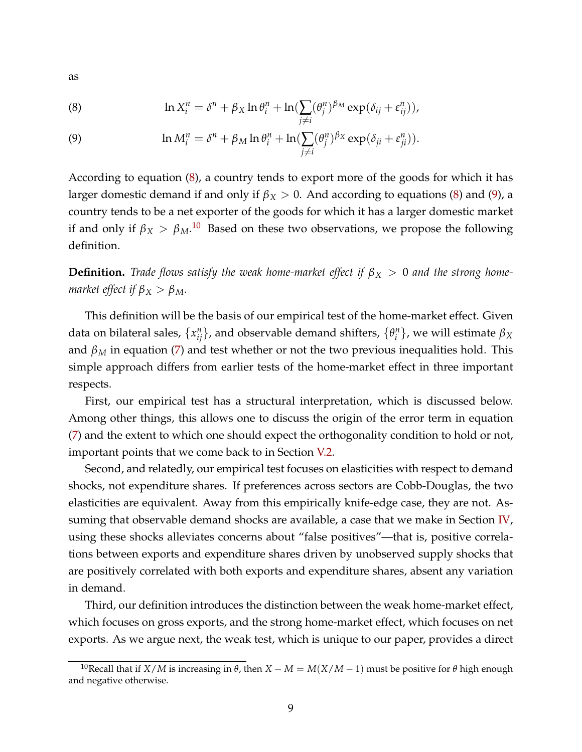as

<span id="page-9-0"></span>(8) 
$$
\ln X_i^n = \delta^n + \beta_X \ln \theta_i^n + \ln (\sum_{j \neq i} (\theta_j^n)^{\beta_M} \exp(\delta_{ij} + \varepsilon_{ij}^n)),
$$

<span id="page-9-1"></span>(9) 
$$
\ln M_i^n = \delta^n + \beta_M \ln \theta_i^n + \ln(\sum_{j \neq i} (\theta_j^n)^{\beta_X} \exp(\delta_{ji} + \varepsilon_{ji}^n)).
$$

According to equation [\(8\)](#page-9-0), a country tends to export more of the goods for which it has larger domestic demand if and only if  $\beta_X > 0$ . And according to equations [\(8\)](#page-9-0) and [\(9\)](#page-9-1), a country tends to be a net exporter of the goods for which it has a larger domestic market if and only if  $\beta_X > \beta_M$ .<sup>[10](#page-9-2)</sup> Based on these two observations, we propose the following definition.

**Definition.** *Trade flows satisfy the weak home-market effect if*  $\beta_X > 0$  *and the strong homemarket effect if*  $\beta_X > \beta_M$ *.* 

This definition will be the basis of our empirical test of the home-market effect. Given data on bilateral sales,  $\{x_{ij}^n\}$ , and observable demand shifters,  $\{\theta_i^n\}$  $\binom{n}{i}$ , we will estimate  $\beta_X$ and  $\beta_M$  in equation [\(7\)](#page-8-1) and test whether or not the two previous inequalities hold. This simple approach differs from earlier tests of the home-market effect in three important respects.

First, our empirical test has a structural interpretation, which is discussed below. Among other things, this allows one to discuss the origin of the error term in equation [\(7\)](#page-8-1) and the extent to which one should expect the orthogonality condition to hold or not, important points that we come back to in Section [V.2.](#page-25-0)

Second, and relatedly, our empirical test focuses on elasticities with respect to demand shocks, not expenditure shares. If preferences across sectors are Cobb-Douglas, the two elasticities are equivalent. Away from this empirically knife-edge case, they are not. Assuming that observable demand shocks are available, a case that we make in Section [IV,](#page-17-0) using these shocks alleviates concerns about "false positives"—that is, positive correlations between exports and expenditure shares driven by unobserved supply shocks that are positively correlated with both exports and expenditure shares, absent any variation in demand.

Third, our definition introduces the distinction between the weak home-market effect, which focuses on gross exports, and the strong home-market effect, which focuses on net exports. As we argue next, the weak test, which is unique to our paper, provides a direct

<span id="page-9-2"></span><sup>10</sup>Recall that if *X*/*M* is increasing in *θ*, then *X* − *M* = *M*(*X*/*M* − 1) must be positive for *θ* high enough and negative otherwise.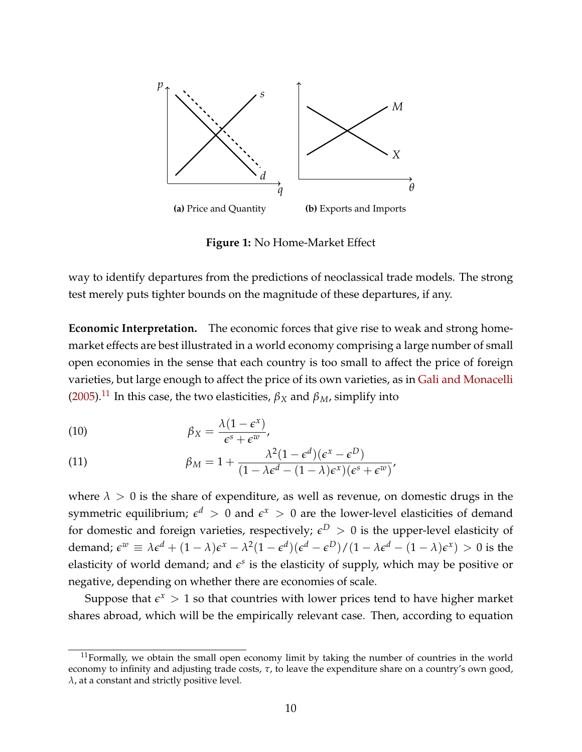<span id="page-10-2"></span>

<span id="page-10-3"></span>**Figure 1:** No Home-Market Effect

way to identify departures from the predictions of neoclassical trade models. The strong test merely puts tighter bounds on the magnitude of these departures, if any.

**Economic Interpretation.** The economic forces that give rise to weak and strong homemarket effects are best illustrated in a world economy comprising a large number of small open economies in the sense that each country is too small to affect the price of foreign varieties, but large enough to affect the price of its own varieties, as in [Gali and Monacelli](#page-41-10) [\(2005\)](#page-41-10).<sup>[11](#page-10-0)</sup> In this case, the two elasticities,  $\beta_X$  and  $\beta_M$ , simplify into

<span id="page-10-1"></span>(10) 
$$
\beta_X = \frac{\lambda(1-\epsilon^x)}{\epsilon^s + \epsilon^w},
$$

<span id="page-10-4"></span>(11) 
$$
\beta_M = 1 + \frac{\lambda^2 (1 - \epsilon^d)(\epsilon^x - \epsilon^D)}{(1 - \lambda \epsilon^d - (1 - \lambda)\epsilon^x)(\epsilon^s + \epsilon^w)}
$$

where  $\lambda > 0$  is the share of expenditure, as well as revenue, on domestic drugs in the symmetric equilibrium;  $\epsilon^d > 0$  and  $\epsilon^x > 0$  are the lower-level elasticities of demand for domestic and foreign varieties, respectively;  $\epsilon^D\,>\,0$  is the upper-level elasticity of demand;  $\epsilon^w\equiv\lambda\epsilon^d+(1-\lambda)\epsilon^x-\lambda^2(1-\epsilon^d)(\epsilon^d-\epsilon^D)/(1-\lambda\epsilon^d-(1-\lambda)\epsilon^x)>0$  is the elasticity of world demand; and  $\epsilon^s$  is the elasticity of supply, which may be positive or negative, depending on whether there are economies of scale.

Suppose that  $\epsilon^x > 1$  so that countries with lower prices tend to have higher market shares abroad, which will be the empirically relevant case. Then, according to equation

<span id="page-10-0"></span> $11$ Formally, we obtain the small open economy limit by taking the number of countries in the world economy to infinity and adjusting trade costs, *τ*, to leave the expenditure share on a country's own good, *λ*, at a constant and strictly positive level.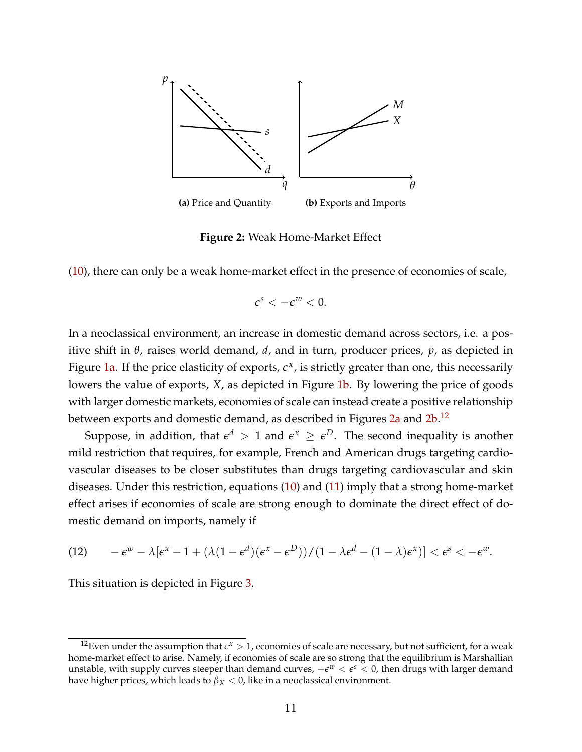<span id="page-11-0"></span>

<span id="page-11-1"></span>**Figure 2:** Weak Home-Market Effect

[\(10\)](#page-10-1), there can only be a weak home-market effect in the presence of economies of scale,

 $\epsilon^s < -\epsilon^w < 0.$ 

In a neoclassical environment, an increase in domestic demand across sectors, i.e. a positive shift in *θ*, raises world demand, *d*, and in turn, producer prices, *p*, as depicted in Figure [1a.](#page-10-2) If the price elasticity of exports,  $\epsilon^x$ , is strictly greater than one, this necessarily lowers the value of exports, *X*, as depicted in Figure [1b.](#page-10-3) By lowering the price of goods with larger domestic markets, economies of scale can instead create a positive relationship between exports and domestic demand, as described in Figures [2a](#page-11-0) and [2b.](#page-11-1) $^{12}$  $^{12}$  $^{12}$ 

Suppose, in addition, that  $\epsilon^d$  > 1 and  $\epsilon^x \geq \epsilon^D$ . The second inequality is another mild restriction that requires, for example, French and American drugs targeting cardiovascular diseases to be closer substitutes than drugs targeting cardiovascular and skin diseases. Under this restriction, equations [\(10\)](#page-10-1) and [\(11\)](#page-10-4) imply that a strong home-market effect arises if economies of scale are strong enough to dominate the direct effect of domestic demand on imports, namely if

<span id="page-11-3"></span>
$$
(12) \qquad -\epsilon^w -\lambda[\epsilon^x -1 + (\lambda(1-\epsilon^d)(\epsilon^x-\epsilon^D))/ (1-\lambda \epsilon^d-(1-\lambda)\epsilon^x)] < \epsilon^s < -\epsilon^w.
$$

This situation is depicted in Figure [3.](#page-12-1)

<span id="page-11-2"></span><sup>&</sup>lt;sup>12</sup>Even under the assumption that  $\epsilon^x > 1$ , economies of scale are necessary, but not sufficient, for a weak home-market effect to arise. Namely, if economies of scale are so strong that the equilibrium is Marshallian unstable, with supply curves steeper than demand curves, −*e <sup>w</sup>* < *e <sup>s</sup>* < 0, then drugs with larger demand have higher prices, which leads to  $\beta_X < 0$ , like in a neoclassical environment.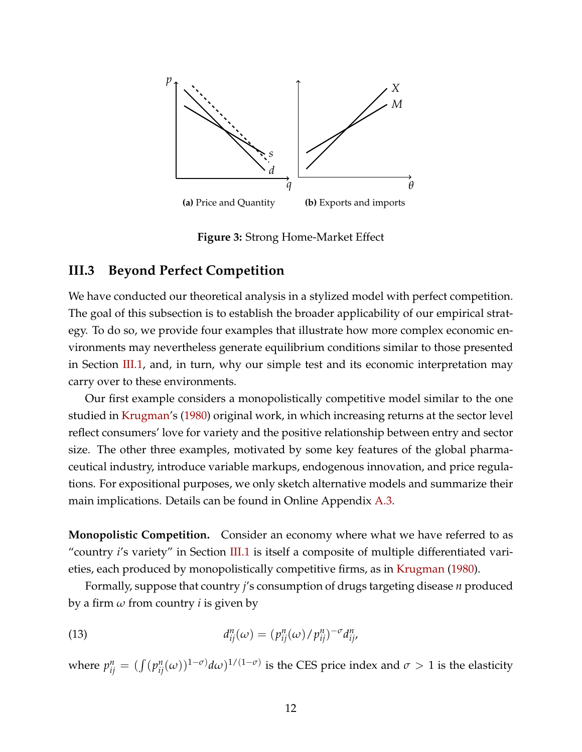<span id="page-12-1"></span>

**Figure 3:** Strong Home-Market Effect

#### <span id="page-12-0"></span>**III.3 Beyond Perfect Competition**

We have conducted our theoretical analysis in a stylized model with perfect competition. The goal of this subsection is to establish the broader applicability of our empirical strategy. To do so, we provide four examples that illustrate how more complex economic environments may nevertheless generate equilibrium conditions similar to those presented in Section [III.1,](#page-6-0) and, in turn, why our simple test and its economic interpretation may carry over to these environments.

Our first example considers a monopolistically competitive model similar to the one studied in [Krugman'](#page-42-1)s [\(1980\)](#page-42-1) original work, in which increasing returns at the sector level reflect consumers' love for variety and the positive relationship between entry and sector size. The other three examples, motivated by some key features of the global pharmaceutical industry, introduce variable markups, endogenous innovation, and price regulations. For expositional purposes, we only sketch alternative models and summarize their main implications. Details can be found in Online Appendix [A.3.](#page-0-0)

**Monopolistic Competition.** Consider an economy where what we have referred to as "country *i*'s variety" in Section [III.1](#page-6-0) is itself a composite of multiple differentiated varieties, each produced by monopolistically competitive firms, as in [Krugman](#page-42-1) [\(1980\)](#page-42-1).

Formally, suppose that country *j*'s consumption of drugs targeting disease *n* produced by a firm *ω* from country *i* is given by

(13) 
$$
d_{ij}^n(\omega) = (p_{ij}^n(\omega)/p_{ij}^n)^{-\sigma} d_{ij}^n
$$

where  $p_{ij}^n = (\int (p_{ij}^n(\omega))^{1-\sigma)} d\omega)^{1/(1-\sigma)}$  is the CES price index and  $\sigma > 1$  is the elasticity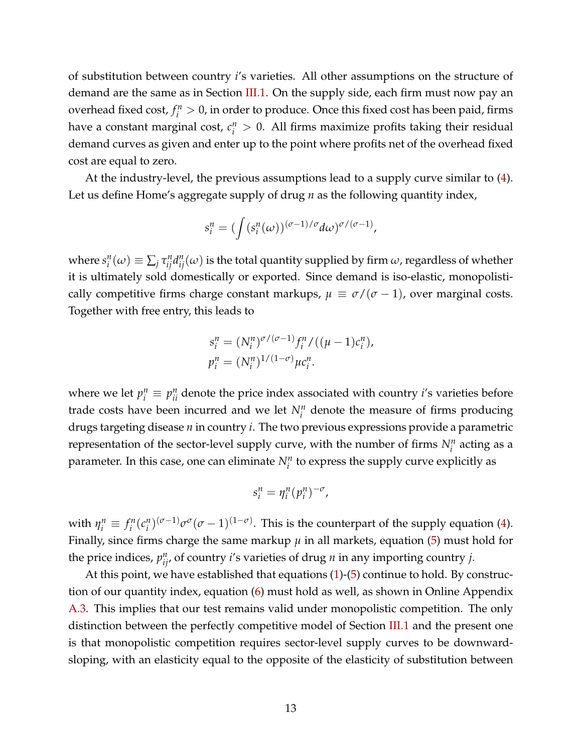of substitution between country *i*'s varieties. All other assumptions on the structure of demand are the same as in Section [III.1.](#page-6-0) On the supply side, each firm must now pay an overhead fixed cost,  $f_i^n > 0$ , in order to produce. Once this fixed cost has been paid, firms have a constant marginal cost,  $c_i^n > 0$ . All firms maximize profits taking their residual demand curves as given and enter up to the point where profits net of the overhead fixed cost are equal to zero.

At the industry-level, the previous assumptions lead to a supply curve similar to [\(4\)](#page-7-3). Let us define Home's aggregate supply of drug *n* as the following quantity index,

$$
s_i^n = (\int (s_i^n(\omega))^{(\sigma-1)/\sigma} d\omega)^{\sigma/(\sigma-1)},
$$

where  $s_i^n$  $a_i^n(\omega)\equiv\sum_j\tau_{ij}^nd_{ij}^n(\omega)$  is the total quantity supplied by firm  $\omega$ , regardless of whether it is ultimately sold domestically or exported. Since demand is iso-elastic, monopolistically competitive firms charge constant markups,  $\mu \equiv \sigma/(\sigma - 1)$ , over marginal costs. Together with free entry, this leads to

$$
s_i^n = (N_i^n)^{\sigma/(\sigma-1)} f_i^n / ((\mu - 1)c_i^n),
$$
  

$$
p_i^n = (N_i^n)^{1/(1-\sigma)} \mu c_i^n.
$$

where we let  $p_i^n \equiv p_{ii}^n$  denote the price index associated with country *i*'s varieties before trade costs have been incurred and we let  $N_i^n$  denote the measure of firms producing drugs targeting disease *n* in country *i*. The two previous expressions provide a parametric representation of the sector-level supply curve, with the number of firms  $N_i^n$  acting as a parameter. In this case, one can eliminate  $N_i^n$  to express the supply curve explicitly as

$$
s_i^n = \eta_i^n (p_i^n)^{-\sigma},
$$

with  $\eta_i^n \equiv f_i^n$  $\int_i^n (c_i^n)$  $\int_{i}^{n}$ )<sup>( $\sigma$ -1) $\sigma$ <sup>*σ*</sup>( $\sigma$  − 1)<sup>(1- $\sigma$ )</sup>. This is the counterpart of the supply equation [\(4\)](#page-7-3).</sup> Finally, since firms charge the same markup  $\mu$  in all markets, equation [\(5\)](#page-7-4) must hold for the price indices,  $p_{ij}^n$ , of country *i*'s varieties of drug *n* in any importing country *j*.

At this point, we have established that equations [\(1\)](#page-6-1)-[\(5\)](#page-7-4) continue to hold. By construction of our quantity index, equation [\(6\)](#page-7-5) must hold as well, as shown in Online Appendix [A.3.](#page-0-0) This implies that our test remains valid under monopolistic competition. The only distinction between the perfectly competitive model of Section [III.1](#page-6-0) and the present one is that monopolistic competition requires sector-level supply curves to be downwardsloping, with an elasticity equal to the opposite of the elasticity of substitution between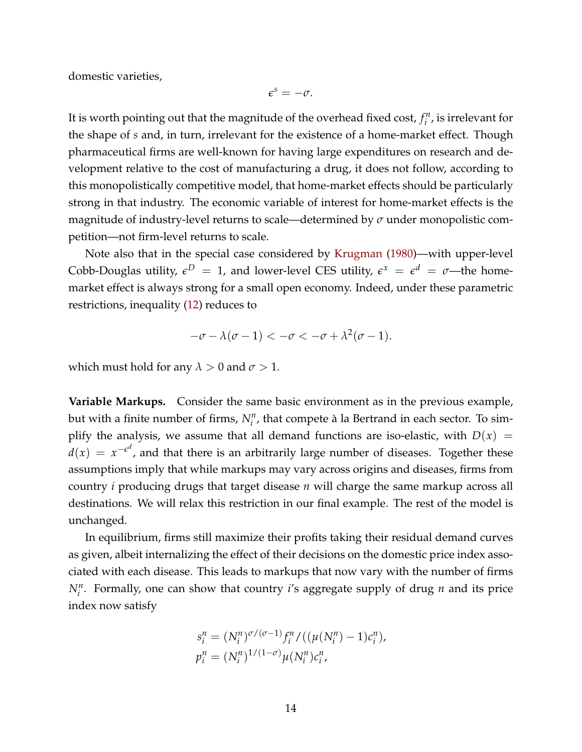domestic varieties,

$$
\epsilon^s=-\sigma.
$$

It is worth pointing out that the magnitude of the overhead fixed cost,  $f_i^n$  $\int_{i}^{\eta}$ , is irrelevant for the shape of *s* and, in turn, irrelevant for the existence of a home-market effect. Though pharmaceutical firms are well-known for having large expenditures on research and development relative to the cost of manufacturing a drug, it does not follow, according to this monopolistically competitive model, that home-market effects should be particularly strong in that industry. The economic variable of interest for home-market effects is the magnitude of industry-level returns to scale—determined by *σ* under monopolistic competition—not firm-level returns to scale.

Note also that in the special case considered by [Krugman](#page-42-1) [\(1980\)](#page-42-1)—with upper-level Cobb-Douglas utility,  $\epsilon^D = 1$ , and lower-level CES utility,  $\epsilon^x = \epsilon^d = \sigma$ —the homemarket effect is always strong for a small open economy. Indeed, under these parametric restrictions, inequality [\(12\)](#page-11-3) reduces to

$$
-\sigma-\lambda(\sigma-1)<-\sigma<-\sigma+\lambda^2(\sigma-1).
$$

which must hold for any  $\lambda > 0$  and  $\sigma > 1$ .

**Variable Markups.** Consider the same basic environment as in the previous example, but with a finite number of firms,  $N_i^n$ , that compete à la Bertrand in each sector. To simplify the analysis, we assume that all demand functions are iso-elastic, with  $D(x)$  =  $d(x) = x^{-\epsilon^d}$ , and that there is an arbitrarily large number of diseases. Together these assumptions imply that while markups may vary across origins and diseases, firms from country *i* producing drugs that target disease *n* will charge the same markup across all destinations. We will relax this restriction in our final example. The rest of the model is unchanged.

In equilibrium, firms still maximize their profits taking their residual demand curves as given, albeit internalizing the effect of their decisions on the domestic price index associated with each disease. This leads to markups that now vary with the number of firms *N<sup>n</sup> i* . Formally, one can show that country *i*'s aggregate supply of drug *n* and its price index now satisfy

$$
s_i^n = (N_i^n)^{\sigma/(\sigma-1)} f_i^n / ((\mu(N_i^n) - 1)c_i^n),
$$
  

$$
p_i^n = (N_i^n)^{1/(1-\sigma)} \mu(N_i^n)c_i^n,
$$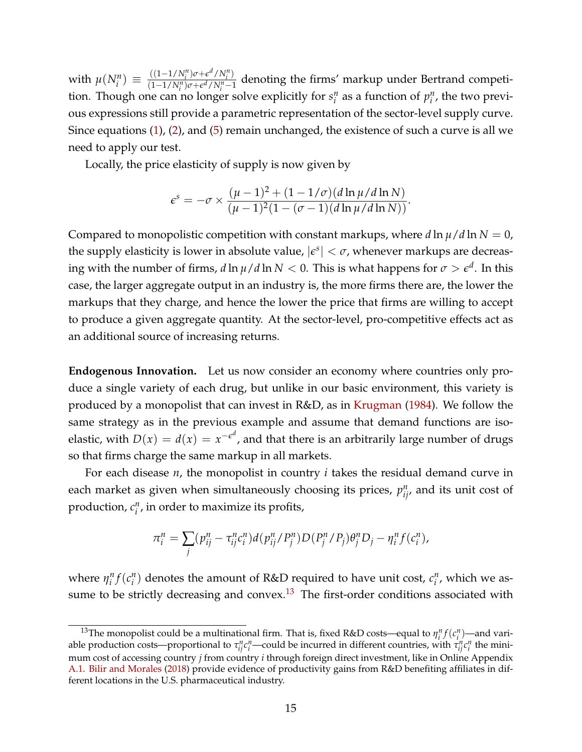with  $\mu(N_i^n) \equiv \frac{((1-1/N_i^n)\sigma + \epsilon^d/N_i^n)}{(1-1/N_i^n)\sigma + \epsilon^d/N_i^n - 1}$  $\frac{((1-1/N_i))\sigma + \epsilon^d/N_i^d}{(1-1/N_i^n)\sigma + \epsilon^d/N_i^n-1}$  denoting the firms' markup under Bertrand competition. Though one can no longer solve explicitly for  $s_i^n$  $\sum_{i=1}^{n}$  as a function of  $p_i^n$  $\binom{n}{i}$ , the two previous expressions still provide a parametric representation of the sector-level supply curve. Since equations [\(1\)](#page-6-1), [\(2\)](#page-6-3), and [\(5\)](#page-7-4) remain unchanged, the existence of such a curve is all we need to apply our test.

Locally, the price elasticity of supply is now given by

$$
\epsilon^{s} = -\sigma \times \frac{(\mu - 1)^{2} + (1 - 1/\sigma)(d \ln \mu / d \ln N)}{(\mu - 1)^{2}(1 - (\sigma - 1)(d \ln \mu / d \ln N))}.
$$

Compared to monopolistic competition with constant markups, where  $d \ln \mu / d \ln N = 0$ , the supply elasticity is lower in absolute value,  $|\epsilon^s| < \sigma$ , whenever markups are decreasing with the number of firms*, d* ln  $\mu/d\ln N < 0$ . This is what happens for  $\sigma > \epsilon^d$ . In this case, the larger aggregate output in an industry is, the more firms there are, the lower the markups that they charge, and hence the lower the price that firms are willing to accept to produce a given aggregate quantity. At the sector-level, pro-competitive effects act as an additional source of increasing returns.

**Endogenous Innovation.** Let us now consider an economy where countries only produce a single variety of each drug, but unlike in our basic environment, this variety is produced by a monopolist that can invest in R&D, as in [Krugman](#page-42-2) [\(1984\)](#page-42-2). We follow the same strategy as in the previous example and assume that demand functions are isoelastic, with  $D(x) = d(x) = x^{-\epsilon^d}$ , and that there is an arbitrarily large number of drugs so that firms charge the same markup in all markets.

For each disease *n*, the monopolist in country *i* takes the residual demand curve in each market as given when simultaneously choosing its prices,  $p_{ij}^n$ , and its unit cost of production, *c n*  $i<sub>i</sub>$ , in order to maximize its profits,

$$
\pi_i^n = \sum_j (p_{ij}^n - \tau_{ij}^n c_i^n) d(p_{ij}^n / P_j^n) D(P_j^n / P_j) \theta_j^n D_j - \eta_i^n f(c_i^n),
$$

where  $\eta_i^n$  $\int\limits_i^n f(c_i^n)$  $\binom{n}{i}$  denotes the amount of R&D required to have unit cost,  $c_i^n$  $\binom{n}{i}$ , which we assume to be strictly decreasing and convex. $13$  The first-order conditions associated with

<span id="page-15-0"></span><sup>&</sup>lt;sup>13</sup>The monopolist could be a multinational firm. That is, fixed R&D costs—equal to  $\eta_i^n f(c_i^n)$ —and variable production costs—proportional to  $\tau^n_{ij}c^n_i$ —could be incurred in different countries, with  $\tau^n_{ij}c^n_i$  the minimum cost of accessing country *j* from country *i* through foreign direct investment, like in Online Appendix [A.1.](#page-0-0) [Bilir and Morales](#page-39-5) [\(2018\)](#page-39-5) provide evidence of productivity gains from R&D benefiting affiliates in different locations in the U.S. pharmaceutical industry.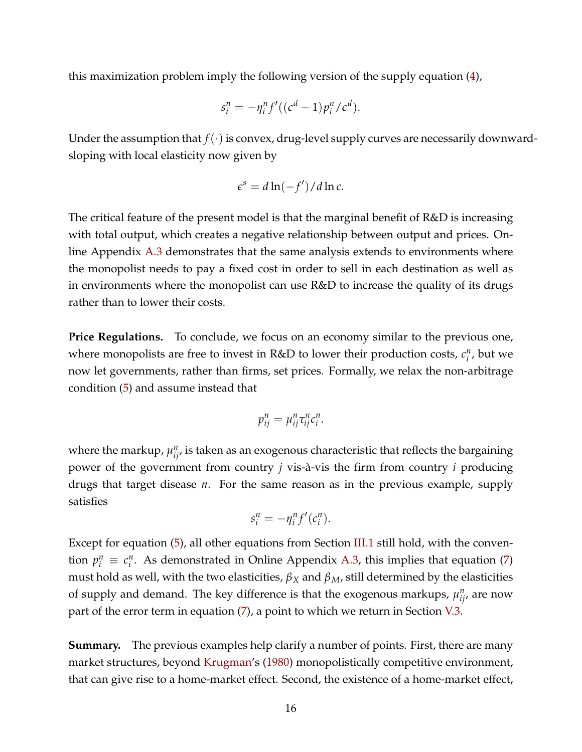this maximization problem imply the following version of the supply equation [\(4\)](#page-7-3),

$$
s_i^n = -\eta_i^n f'((\epsilon^d - 1)p_i^n/\epsilon^d).
$$

Under the assumption that  $f(\cdot)$  is convex, drug-level supply curves are necessarily downwardsloping with local elasticity now given by

$$
\epsilon^s = d \ln(-f') / d \ln c.
$$

The critical feature of the present model is that the marginal benefit of R&D is increasing with total output, which creates a negative relationship between output and prices. Online Appendix [A.3](#page-0-0) demonstrates that the same analysis extends to environments where the monopolist needs to pay a fixed cost in order to sell in each destination as well as in environments where the monopolist can use R&D to increase the quality of its drugs rather than to lower their costs.

**Price Regulations.** To conclude, we focus on an economy similar to the previous one, where monopolists are free to invest in  $R&D$  to lower their production costs,  $c_i^n$  $_i^n$ , but we now let governments, rather than firms, set prices. Formally, we relax the non-arbitrage condition [\(5\)](#page-7-4) and assume instead that

$$
p_{ij}^n = \mu_{ij}^n \tau_{ij}^n c_i^n.
$$

where the markup,  $\mu_{i j^\prime}^n$  is taken as an exogenous characteristic that reflects the bargaining power of the government from country *j* vis-à-vis the firm from country *i* producing drugs that target disease *n*. For the same reason as in the previous example, supply satisfies

$$
s_i^n = -\eta_i^n f'(c_i^n).
$$

Except for equation [\(5\)](#page-7-4), all other equations from Section [III.1](#page-6-0) still hold, with the convention  $p_i^n \equiv c_i^n$  $i<sub>i</sub><sup>n</sup>$ . As demonstrated in Online Appendix [A.3,](#page-0-0) this implies that equation [\(7\)](#page-8-1) must hold as well, with the two elasticities,  $\beta_X$  and  $\beta_M$ , still determined by the elasticities of supply and demand. The key difference is that the exogenous markups,  $\mu_{ij}^n$ , are now part of the error term in equation [\(7\)](#page-8-1), a point to which we return in Section [V.3.](#page-29-0)

**Summary.** The previous examples help clarify a number of points. First, there are many market structures, beyond [Krugman'](#page-42-1)s [\(1980\)](#page-42-1) monopolistically competitive environment, that can give rise to a home-market effect. Second, the existence of a home-market effect,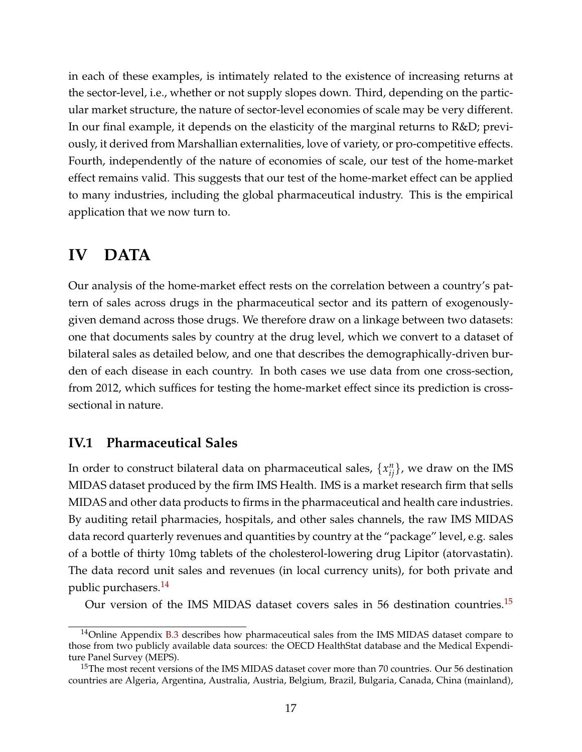in each of these examples, is intimately related to the existence of increasing returns at the sector-level, i.e., whether or not supply slopes down. Third, depending on the particular market structure, the nature of sector-level economies of scale may be very different. In our final example, it depends on the elasticity of the marginal returns to R&D; previously, it derived from Marshallian externalities, love of variety, or pro-competitive effects. Fourth, independently of the nature of economies of scale, our test of the home-market effect remains valid. This suggests that our test of the home-market effect can be applied to many industries, including the global pharmaceutical industry. This is the empirical application that we now turn to.

## <span id="page-17-0"></span>**IV DATA**

Our analysis of the home-market effect rests on the correlation between a country's pattern of sales across drugs in the pharmaceutical sector and its pattern of exogenouslygiven demand across those drugs. We therefore draw on a linkage between two datasets: one that documents sales by country at the drug level, which we convert to a dataset of bilateral sales as detailed below, and one that describes the demographically-driven burden of each disease in each country. In both cases we use data from one cross-section, from 2012, which suffices for testing the home-market effect since its prediction is crosssectional in nature.

#### **IV.1 Pharmaceutical Sales**

In order to construct bilateral data on pharmaceutical sales,  $\{x_{ij}^n\}$ , we draw on the IMS MIDAS dataset produced by the firm IMS Health. IMS is a market research firm that sells MIDAS and other data products to firms in the pharmaceutical and health care industries. By auditing retail pharmacies, hospitals, and other sales channels, the raw IMS MIDAS data record quarterly revenues and quantities by country at the "package" level, e.g. sales of a bottle of thirty 10mg tablets of the cholesterol-lowering drug Lipitor (atorvastatin). The data record unit sales and revenues (in local currency units), for both private and public purchasers.[14](#page-17-1)

Our version of the IMS MIDAS dataset covers sales in 56 destination countries.<sup>[15](#page-17-2)</sup>

<span id="page-17-1"></span><sup>&</sup>lt;sup>14</sup>Online Appendix [B.3](#page-0-0) describes how pharmaceutical sales from the IMS MIDAS dataset compare to those from two publicly available data sources: the OECD HealthStat database and the Medical Expenditure Panel Survey (MEPS).

<span id="page-17-2"></span><sup>&</sup>lt;sup>15</sup>The most recent versions of the IMS MIDAS dataset cover more than 70 countries. Our 56 destination countries are Algeria, Argentina, Australia, Austria, Belgium, Brazil, Bulgaria, Canada, China (mainland),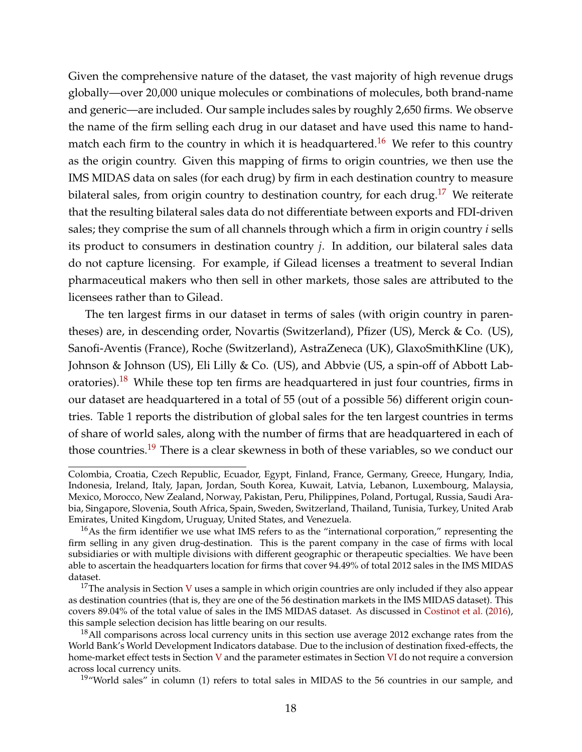Given the comprehensive nature of the dataset, the vast majority of high revenue drugs globally—over 20,000 unique molecules or combinations of molecules, both brand-name and generic—are included. Our sample includes sales by roughly 2,650 firms. We observe the name of the firm selling each drug in our dataset and have used this name to hand-match each firm to the country in which it is headquartered.<sup>[16](#page-18-0)</sup> We refer to this country as the origin country. Given this mapping of firms to origin countries, we then use the IMS MIDAS data on sales (for each drug) by firm in each destination country to measure bilateral sales, from origin country to destination country, for each drug.<sup>[17](#page-18-1)</sup> We reiterate that the resulting bilateral sales data do not differentiate between exports and FDI-driven sales; they comprise the sum of all channels through which a firm in origin country *i* sells its product to consumers in destination country *j*. In addition, our bilateral sales data do not capture licensing. For example, if Gilead licenses a treatment to several Indian pharmaceutical makers who then sell in other markets, those sales are attributed to the licensees rather than to Gilead.

The ten largest firms in our dataset in terms of sales (with origin country in parentheses) are, in descending order, Novartis (Switzerland), Pfizer (US), Merck & Co. (US), Sanofi-Aventis (France), Roche (Switzerland), AstraZeneca (UK), GlaxoSmithKline (UK), Johnson & Johnson (US), Eli Lilly & Co. (US), and Abbvie (US, a spin-off of Abbott Lab-oratories).<sup>[18](#page-18-2)</sup> While these top ten firms are headquartered in just four countries, firms in our dataset are headquartered in a total of 55 (out of a possible 56) different origin countries. Table 1 reports the distribution of global sales for the ten largest countries in terms of share of world sales, along with the number of firms that are headquartered in each of those countries.[19](#page-18-3) There is a clear skewness in both of these variables, so we conduct our

Colombia, Croatia, Czech Republic, Ecuador, Egypt, Finland, France, Germany, Greece, Hungary, India, Indonesia, Ireland, Italy, Japan, Jordan, South Korea, Kuwait, Latvia, Lebanon, Luxembourg, Malaysia, Mexico, Morocco, New Zealand, Norway, Pakistan, Peru, Philippines, Poland, Portugal, Russia, Saudi Arabia, Singapore, Slovenia, South Africa, Spain, Sweden, Switzerland, Thailand, Tunisia, Turkey, United Arab Emirates, United Kingdom, Uruguay, United States, and Venezuela.

<span id="page-18-0"></span><sup>&</sup>lt;sup>16</sup>As the firm identifier we use what IMS refers to as the "international corporation," representing the firm selling in any given drug-destination. This is the parent company in the case of firms with local subsidiaries or with multiple divisions with different geographic or therapeutic specialties. We have been able to ascertain the headquarters location for firms that cover 94.49% of total 2012 sales in the IMS MIDAS dataset.

<span id="page-18-1"></span> $17$ The analysis in Section [V](#page-22-0) uses a sample in which origin countries are only included if they also appear as destination countries (that is, they are one of the 56 destination markets in the IMS MIDAS dataset). This covers 89.04% of the total value of sales in the IMS MIDAS dataset. As discussed in [Costinot et al.](#page-40-11) [\(2016\)](#page-40-11), this sample selection decision has little bearing on our results.

<span id="page-18-2"></span><sup>&</sup>lt;sup>18</sup>All comparisons across local currency units in this section use average 2012 exchange rates from the World Bank's World Development Indicators database. Due to the inclusion of destination fixed-effects, the home-market effect tests in Section [V](#page-22-0) and the parameter estimates in Section [VI](#page-32-0) do not require a conversion across local currency units.

<span id="page-18-3"></span><sup>&</sup>lt;sup>19</sup>"World sales" in column (1) refers to total sales in MIDAS to the 56 countries in our sample, and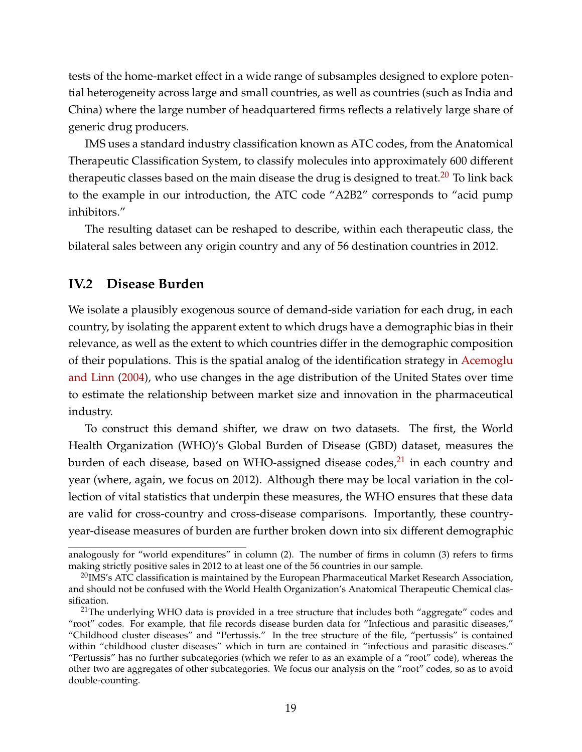tests of the home-market effect in a wide range of subsamples designed to explore potential heterogeneity across large and small countries, as well as countries (such as India and China) where the large number of headquartered firms reflects a relatively large share of generic drug producers.

IMS uses a standard industry classification known as ATC codes, from the Anatomical Therapeutic Classification System, to classify molecules into approximately 600 different therapeutic classes based on the main disease the drug is designed to treat.<sup>[20](#page-19-0)</sup> To link back to the example in our introduction, the ATC code "A2B2" corresponds to "acid pump inhibitors."

The resulting dataset can be reshaped to describe, within each therapeutic class, the bilateral sales between any origin country and any of 56 destination countries in 2012.

#### **IV.2 Disease Burden**

We isolate a plausibly exogenous source of demand-side variation for each drug, in each country, by isolating the apparent extent to which drugs have a demographic bias in their relevance, as well as the extent to which countries differ in the demographic composition of their populations. This is the spatial analog of the identification strategy in [Acemoglu](#page-39-0) [and Linn](#page-39-0) [\(2004\)](#page-39-0), who use changes in the age distribution of the United States over time to estimate the relationship between market size and innovation in the pharmaceutical industry.

To construct this demand shifter, we draw on two datasets. The first, the World Health Organization (WHO)'s Global Burden of Disease (GBD) dataset, measures the burden of each disease, based on WHO-assigned disease codes, $21$  in each country and year (where, again, we focus on 2012). Although there may be local variation in the collection of vital statistics that underpin these measures, the WHO ensures that these data are valid for cross-country and cross-disease comparisons. Importantly, these countryyear-disease measures of burden are further broken down into six different demographic

analogously for "world expenditures" in column (2). The number of firms in column (3) refers to firms making strictly positive sales in 2012 to at least one of the 56 countries in our sample.

<span id="page-19-0"></span> $^{20}$ IMS's ATC classification is maintained by the European Pharmaceutical Market Research Association, and should not be confused with the World Health Organization's Anatomical Therapeutic Chemical classification.

<span id="page-19-1"></span><sup>&</sup>lt;sup>21</sup>The underlying WHO data is provided in a tree structure that includes both "aggregate" codes and "root" codes. For example, that file records disease burden data for "Infectious and parasitic diseases," "Childhood cluster diseases" and "Pertussis." In the tree structure of the file, "pertussis" is contained within "childhood cluster diseases" which in turn are contained in "infectious and parasitic diseases." "Pertussis" has no further subcategories (which we refer to as an example of a "root" code), whereas the other two are aggregates of other subcategories. We focus our analysis on the "root" codes, so as to avoid double-counting.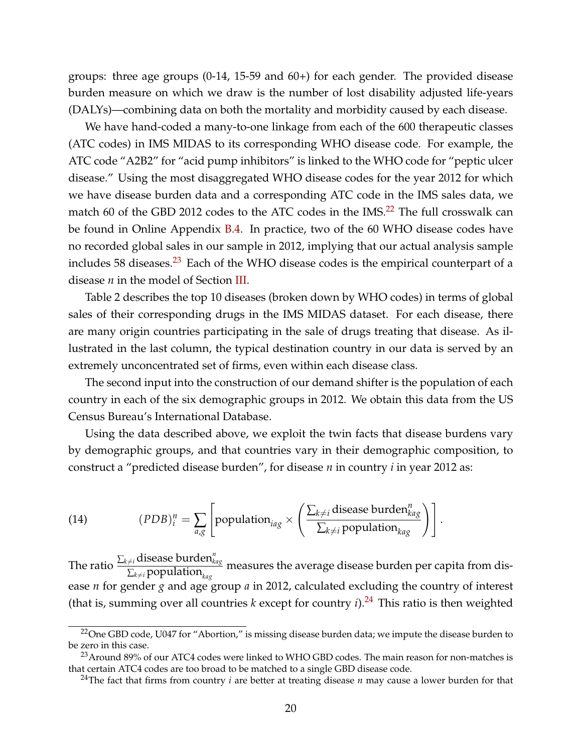groups: three age groups (0-14, 15-59 and 60+) for each gender. The provided disease burden measure on which we draw is the number of lost disability adjusted life-years (DALYs)—combining data on both the mortality and morbidity caused by each disease.

We have hand-coded a many-to-one linkage from each of the 600 therapeutic classes (ATC codes) in IMS MIDAS to its corresponding WHO disease code. For example, the ATC code "A2B2" for "acid pump inhibitors" is linked to the WHO code for "peptic ulcer disease." Using the most disaggregated WHO disease codes for the year 2012 for which we have disease burden data and a corresponding ATC code in the IMS sales data, we match 60 of the GBD 2012 codes to the ATC codes in the IMS. $^{22}$  $^{22}$  $^{22}$  The full crosswalk can be found in Online Appendix [B.4.](#page-0-0) In practice, two of the 60 WHO disease codes have no recorded global sales in our sample in 2012, implying that our actual analysis sample includes 58 diseases. $^{23}$  $^{23}$  $^{23}$  Each of the WHO disease codes is the empirical counterpart of a disease *n* in the model of Section [III.](#page-5-0)

Table 2 describes the top 10 diseases (broken down by WHO codes) in terms of global sales of their corresponding drugs in the IMS MIDAS dataset. For each disease, there are many origin countries participating in the sale of drugs treating that disease. As illustrated in the last column, the typical destination country in our data is served by an extremely unconcentrated set of firms, even within each disease class.

The second input into the construction of our demand shifter is the population of each country in each of the six demographic groups in 2012. We obtain this data from the US Census Bureau's International Database.

Using the data described above, we exploit the twin facts that disease burdens vary by demographic groups, and that countries vary in their demographic composition, to construct a "predicted disease burden", for disease *n* in country *i* in year 2012 as:

<span id="page-20-3"></span>(14) 
$$
(PDB)_i^n = \sum_{a,g} \left[ \text{population}_{iag} \times \left( \frac{\sum_{k \neq i} \text{disease burden}_{kag}^n}{\sum_{k \neq i} \text{population}_{kag}} \right) \right].
$$

The ratio  $\frac{\sum_{k\neq i} \text{disease burden}_{\text{kag}}^n}{\sum_{i} \text{population}}$ <del>≠i allo case o all aest<sub>kag</sub></del> measures the average disease burden per capita from dis-<br>∑<sub>k≠i</sub> population<sub>kag</sub> ease *n* for gender *g* and age group *a* in 2012, calculated excluding the country of interest (that is, summing over all countries  $k$  except for country  $i$ ).<sup>[24](#page-20-2)</sup> This ratio is then weighted

<span id="page-20-0"></span><sup>&</sup>lt;sup>22</sup>One GBD code, U047 for "Abortion," is missing disease burden data; we impute the disease burden to be zero in this case.

<span id="page-20-1"></span> $^{23}$ Around 89% of our ATC4 codes were linked to WHO GBD codes. The main reason for non-matches is that certain ATC4 codes are too broad to be matched to a single GBD disease code.

<span id="page-20-2"></span><sup>&</sup>lt;sup>24</sup>The fact that firms from country  $i$  are better at treating disease  $n$  may cause a lower burden for that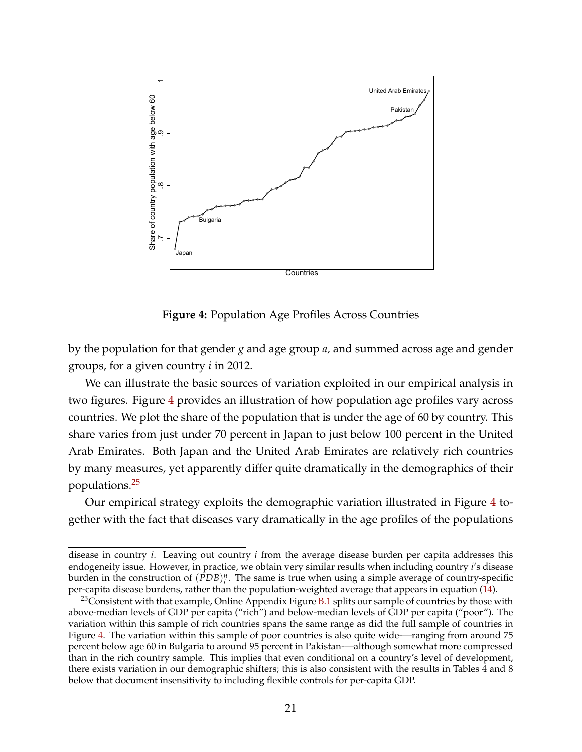<span id="page-21-0"></span>

**Figure 4:** Population Age Profiles Across Countries

by the population for that gender *g* and age group *a,* and summed across age and gender groups, for a given country *i* in 2012.

We can illustrate the basic sources of variation exploited in our empirical analysis in two figures. Figure [4](#page-21-0) provides an illustration of how population age profiles vary across countries. We plot the share of the population that is under the age of 60 by country. This share varies from just under 70 percent in Japan to just below 100 percent in the United Arab Emirates. Both Japan and the United Arab Emirates are relatively rich countries by many measures, yet apparently differ quite dramatically in the demographics of their populations.[25](#page-21-1)

Our empirical strategy exploits the demographic variation illustrated in Figure [4](#page-21-0) together with the fact that diseases vary dramatically in the age profiles of the populations

disease in country *i*. Leaving out country *i* from the average disease burden per capita addresses this endogeneity issue. However, in practice, we obtain very similar results when including country *i*'s disease burden in the construction of  $(\overline{P}DB)_i^n$ . The same is true when using a simple average of country-specific per-capita disease burdens, rather than the population-weighted average that appears in equation [\(14\)](#page-20-3).

<span id="page-21-1"></span> $25$ Consistent with that example, Online Appendix Figure [B.1](#page-0-0) splits our sample of countries by those with above-median levels of GDP per capita ("rich") and below-median levels of GDP per capita ("poor"). The variation within this sample of rich countries spans the same range as did the full sample of countries in Figure [4.](#page-21-0) The variation within this sample of poor countries is also quite wide-—ranging from around 75 percent below age 60 in Bulgaria to around 95 percent in Pakistan-—although somewhat more compressed than in the rich country sample. This implies that even conditional on a country's level of development, there exists variation in our demographic shifters; this is also consistent with the results in Tables 4 and 8 below that document insensitivity to including flexible controls for per-capita GDP.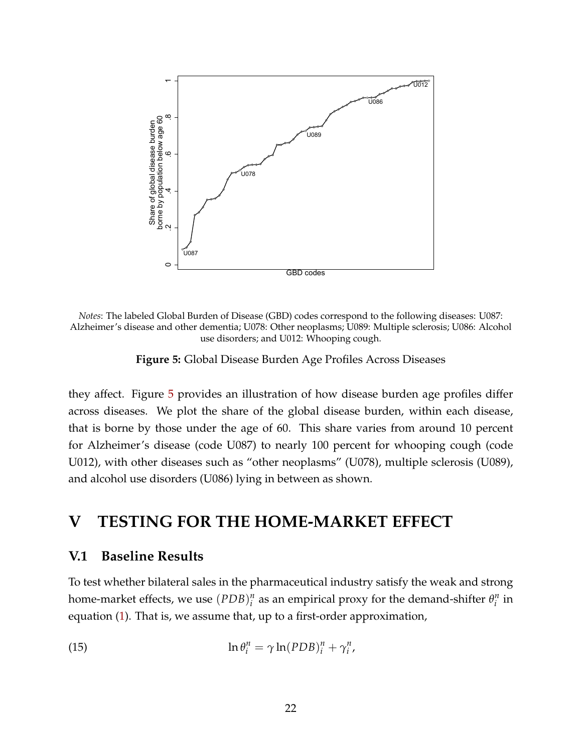<span id="page-22-1"></span>

*Notes*: The labeled Global Burden of Disease (GBD) codes correspond to the following diseases: U087: Alzheimer's disease and other dementia; U078: Other neoplasms; U089: Multiple sclerosis; U086: Alcohol use disorders; and U012: Whooping cough.

**Figure 5:** Global Disease Burden Age Profiles Across Diseases

they affect. Figure [5](#page-22-1) provides an illustration of how disease burden age profiles differ across diseases. We plot the share of the global disease burden, within each disease, that is borne by those under the age of 60. This share varies from around 10 percent for Alzheimer's disease (code U087) to nearly 100 percent for whooping cough (code U012), with other diseases such as "other neoplasms" (U078), multiple sclerosis (U089), and alcohol use disorders (U086) lying in between as shown.

## <span id="page-22-0"></span>**V TESTING FOR THE HOME-MARKET EFFECT**

#### <span id="page-22-3"></span>**V.1 Baseline Results**

To test whether bilateral sales in the pharmaceutical industry satisfy the weak and strong home-market effects, we use (*PDB*) *n*  $\sum_{i}^{n}$  as an empirical proxy for the demand-shifter  $\theta_i^n$  $\prod_{i=1}^{n}$  in equation [\(1\)](#page-6-1). That is, we assume that, up to a first-order approximation,

<span id="page-22-2"></span>(15) 
$$
\ln \theta_i^n = \gamma \ln (PDB)_i^n + \gamma_i^n,
$$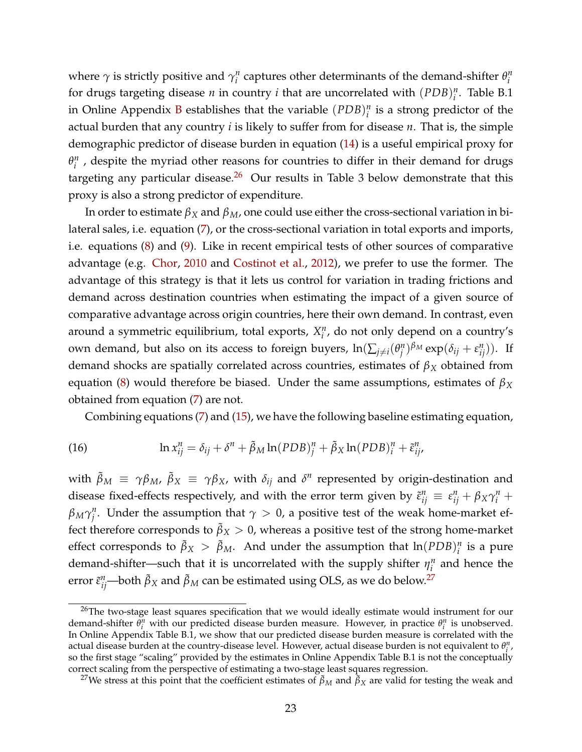where  $\gamma$  is strictly positive and  $\gamma_i^n$  $\int_{i}^{n}$  captures other determinants of the demand-shifter  $\theta_{i}^{n}$ *i* for drugs targeting disease *n* in country *i* that are uncorrelated with  $(PDB)_i^n$  $i^n$ . Table B.1 in Online Appendix [B](#page-0-0) establishes that the variable (*PDB*) *n*  $\binom{n}{i}$  is a strong predictor of the actual burden that any country *i* is likely to suffer from for disease *n*. That is, the simple demographic predictor of disease burden in equation [\(14\)](#page-20-3) is a useful empirical proxy for *θ n*  $\sum_{i}^{n}$  , despite the myriad other reasons for countries to differ in their demand for drugs targeting any particular disease.<sup>[26](#page-23-0)</sup> Our results in Table 3 below demonstrate that this proxy is also a strong predictor of expenditure.

In order to estimate  $\beta_X$  and  $\beta_M$ , one could use either the cross-sectional variation in bilateral sales, i.e. equation [\(7\)](#page-8-1), or the cross-sectional variation in total exports and imports, i.e. equations [\(8\)](#page-9-0) and [\(9\)](#page-9-1). Like in recent empirical tests of other sources of comparative advantage (e.g. [Chor,](#page-39-6) [2010](#page-39-6) and [Costinot et al.,](#page-40-12) [2012\)](#page-40-12), we prefer to use the former. The advantage of this strategy is that it lets us control for variation in trading frictions and demand across destination countries when estimating the impact of a given source of comparative advantage across origin countries, here their own demand. In contrast, even around a symmetric equilibrium, total exports, *X n*  $i<sub>i</sub><sup>n</sup>$ , do not only depend on a country's own demand, but also on its access to foreign buyers,  $\ln(\sum_{j\neq i}(\theta_j^n))$  $j^{\{n\}}$ <sup> $\beta$ *M*</sup> exp( $\delta_{ij}$  +  $\varepsilon_{ij}^n$ )). If demand shocks are spatially correlated across countries, estimates of *β<sup>X</sup>* obtained from equation [\(8\)](#page-9-0) would therefore be biased. Under the same assumptions, estimates of  $β<sub>X</sub>$ obtained from equation [\(7\)](#page-8-1) are not.

<span id="page-23-2"></span>Combining equations [\(7\)](#page-8-1) and [\(15\)](#page-22-2), we have the following baseline estimating equation,

(16) 
$$
\ln x_{ij}^{n} = \delta_{ij} + \delta^{n} + \tilde{\beta}_{M} \ln(PDB)_{j}^{n} + \tilde{\beta}_{X} \ln(PDB)_{i}^{n} + \tilde{\epsilon}_{ij}^{n},
$$

with  $\tilde{\beta}_M \equiv \gamma \beta_M$ ,  $\tilde{\beta}_X \equiv \gamma \beta_X$ , with  $\delta_{ij}$  and  $\delta^n$  represented by origin-destination and disease fixed-effects respectively, and with the error term given by  $\tilde{\epsilon}^n_{ij} \equiv \epsilon^n_{ij} + \beta_X \gamma^n_i + \epsilon^1_i$ *βMγ n f*<sub>*i*</sub>. Under the assumption that  $\gamma > 0$ , a positive test of the weak home-market effect therefore corresponds to  $\tilde{\beta}_X > 0$ , whereas a positive test of the strong home-market effect corresponds to  $\tilde{\beta}_X > \tilde{\beta}_M$ . And under the assumption that  $\ln(PDB)_i^n$  $\frac{n}{i}$  is a pure demand-shifter—such that it is uncorrelated with the supply shifter *η n*  $\binom{n}{i}$  and hence the error  $\tilde{\epsilon}^n_{ij}$ —both  $\tilde{\beta}_X$  and  $\tilde{\beta}_M$  can be estimated using OLS, as we do below.<sup>[27](#page-23-1)</sup>

<span id="page-23-0"></span><sup>&</sup>lt;sup>26</sup>The two-stage least squares specification that we would ideally estimate would instrument for our demand-shifter  $\theta_i^n$  with our predicted disease burden measure. However, in practice  $\theta_i^n$  is unobserved. In Online Appendix Table B.1, we show that our predicted disease burden measure is correlated with the actual disease burden at the country-disease level. However, actual disease burden is not equivalent to  $\theta_i^n$ , so the first stage "scaling" provided by the estimates in Online Appendix Table B.1 is not the conceptually correct scaling from the perspective of estimating a two-stage least squares regression.

<span id="page-23-1"></span><sup>&</sup>lt;sup>27</sup>We stress at this point that the coefficient estimates of  $\tilde{\beta}_M$  and  $\tilde{\beta}_X$  are valid for testing the weak and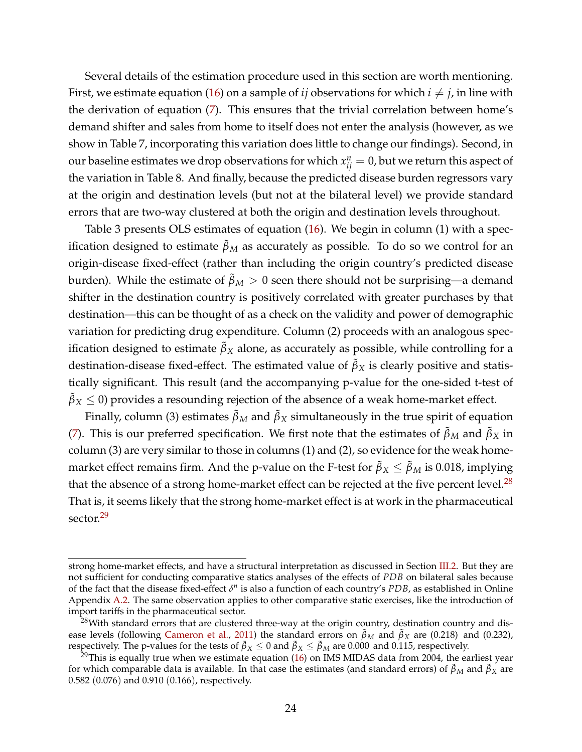Several details of the estimation procedure used in this section are worth mentioning. First, we estimate equation [\(16\)](#page-23-2) on a sample of *ij* observations for which  $i \neq j$ , in line with the derivation of equation [\(7\)](#page-8-1). This ensures that the trivial correlation between home's demand shifter and sales from home to itself does not enter the analysis (however, as we show in Table 7, incorporating this variation does little to change our findings). Second, in our baseline estimates we drop observations for which  $x_{ij}^n=0$ , but we return this aspect of the variation in Table 8. And finally, because the predicted disease burden regressors vary at the origin and destination levels (but not at the bilateral level) we provide standard errors that are two-way clustered at both the origin and destination levels throughout.

Table 3 presents OLS estimates of equation [\(16\)](#page-23-2). We begin in column (1) with a specification designed to estimate  $\tilde{\beta}_M$  as accurately as possible. To do so we control for an origin-disease fixed-effect (rather than including the origin country's predicted disease burden). While the estimate of  $\tilde{\beta}_M > 0$  seen there should not be surprising—a demand shifter in the destination country is positively correlated with greater purchases by that destination—this can be thought of as a check on the validity and power of demographic variation for predicting drug expenditure. Column (2) proceeds with an analogous specification designed to estimate  $\tilde{\beta}_X$  alone, as accurately as possible, while controlling for a destination-disease fixed-effect. The estimated value of  $\tilde{\beta}_X$  is clearly positive and statistically significant. This result (and the accompanying p-value for the one-sided t-test of  $\tilde{\beta}_X \leq 0$ ) provides a resounding rejection of the absence of a weak home-market effect.

Finally, column (3) estimates  $\tilde{\beta}_M$  and  $\tilde{\beta}_X$  simultaneously in the true spirit of equation [\(7\)](#page-8-1). This is our preferred specification. We first note that the estimates of  $\tilde{\beta}_M$  and  $\tilde{\beta}_X$  in column (3) are very similar to those in columns (1) and (2), so evidence for the weak homemarket effect remains firm. And the p-value on the F-test for  $\tilde{\beta}_X \leq \tilde{\beta}_M$  is 0.018, implying that the absence of a strong home-market effect can be rejected at the five percent level.<sup>[28](#page-24-0)</sup> That is, it seems likely that the strong home-market effect is at work in the pharmaceutical sector.<sup>[29](#page-24-1)</sup>

strong home-market effects, and have a structural interpretation as discussed in Section [III.2.](#page-7-0) But they are not sufficient for conducting comparative statics analyses of the effects of *PDB* on bilateral sales because of the fact that the disease fixed-effect *δ n* is also a function of each country's *PDB*, as established in Online Appendix [A.2.](#page-0-0) The same observation applies to other comparative static exercises, like the introduction of import tariffs in the pharmaceutical sector.

<span id="page-24-0"></span> $28$ With standard errors that are clustered three-way at the origin country, destination country and dis-ease levels (following [Cameron et al.,](#page-39-7) [2011\)](#page-39-7) the standard errors on  $\tilde{\beta}_M$  and  $\tilde{\beta}_X$  are (0.218) and (0.232), respectively. The p-values for the tests of  $\tilde{\beta}_X\leq 0$  and  $\tilde{\beta}_X\leq \tilde{\beta}_M$  are 0.000 and 0.115, respectively.

<span id="page-24-1"></span> $^{29}$ This is equally true when we estimate equation [\(16\)](#page-23-2) on IMS MIDAS data from 2004, the earliest year for which comparable data is available. In that case the estimates (and standard errors) of  $\tilde{\beta}_M$  and  $\tilde{\beta}_X$  are 0.582 (0.076) and 0.910 (0.166), respectively.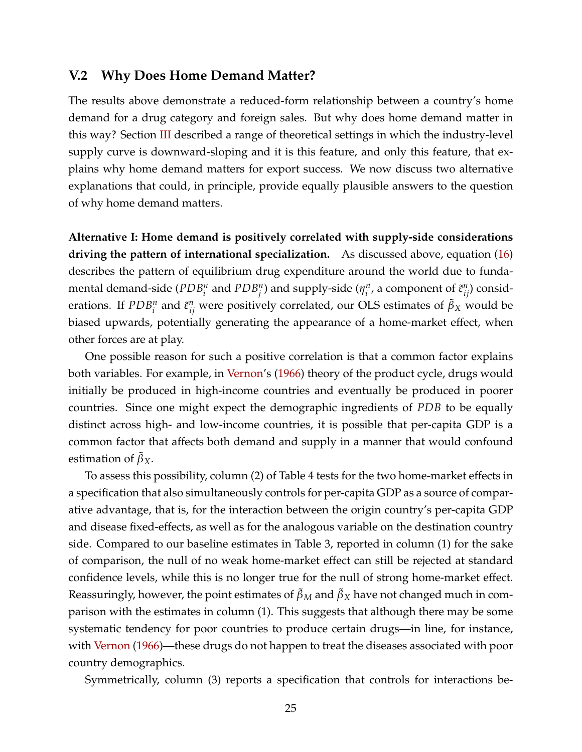#### <span id="page-25-0"></span>**V.2 Why Does Home Demand Matter?**

The results above demonstrate a reduced-form relationship between a country's home demand for a drug category and foreign sales. But why does home demand matter in this way? Section [III](#page-5-0) described a range of theoretical settings in which the industry-level supply curve is downward-sloping and it is this feature, and only this feature, that explains why home demand matters for export success. We now discuss two alternative explanations that could, in principle, provide equally plausible answers to the question of why home demand matters.

**Alternative I: Home demand is positively correlated with supply-side considerations driving the pattern of international specialization.** As discussed above, equation [\(16\)](#page-23-2) describes the pattern of equilibrium drug expenditure around the world due to fundamental demand-side  $(PDB_i^n$  and  $PDB_j^n$ ) and supply-side  $(\eta_i^n)$  $\sum_{i}^{n}$ , a component of  $\tilde{\epsilon}^n_{ij}$ ) considerations. If  $PDB_i^n$  and  $\tilde{\varepsilon}^n_{ij}$  were positively correlated, our OLS estimates of  $\tilde{\beta}_X$  would be biased upwards, potentially generating the appearance of a home-market effect, when other forces are at play.

One possible reason for such a positive correlation is that a common factor explains both variables. For example, in [Vernon'](#page-43-3)s [\(1966\)](#page-43-3) theory of the product cycle, drugs would initially be produced in high-income countries and eventually be produced in poorer countries. Since one might expect the demographic ingredients of *PDB* to be equally distinct across high- and low-income countries, it is possible that per-capita GDP is a common factor that affects both demand and supply in a manner that would confound estimation of  $\tilde{\beta}_X$ .

To assess this possibility, column (2) of Table 4 tests for the two home-market effects in a specification that also simultaneously controls for per-capita GDP as a source of comparative advantage, that is, for the interaction between the origin country's per-capita GDP and disease fixed-effects, as well as for the analogous variable on the destination country side. Compared to our baseline estimates in Table 3, reported in column (1) for the sake of comparison, the null of no weak home-market effect can still be rejected at standard confidence levels, while this is no longer true for the null of strong home-market effect. Reassuringly, however, the point estimates of  $\tilde{\beta}_M$  and  $\tilde{\beta}_X$  have not changed much in comparison with the estimates in column (1). This suggests that although there may be some systematic tendency for poor countries to produce certain drugs—in line, for instance, with [Vernon](#page-43-3) [\(1966\)](#page-43-3)—these drugs do not happen to treat the diseases associated with poor country demographics.

Symmetrically, column (3) reports a specification that controls for interactions be-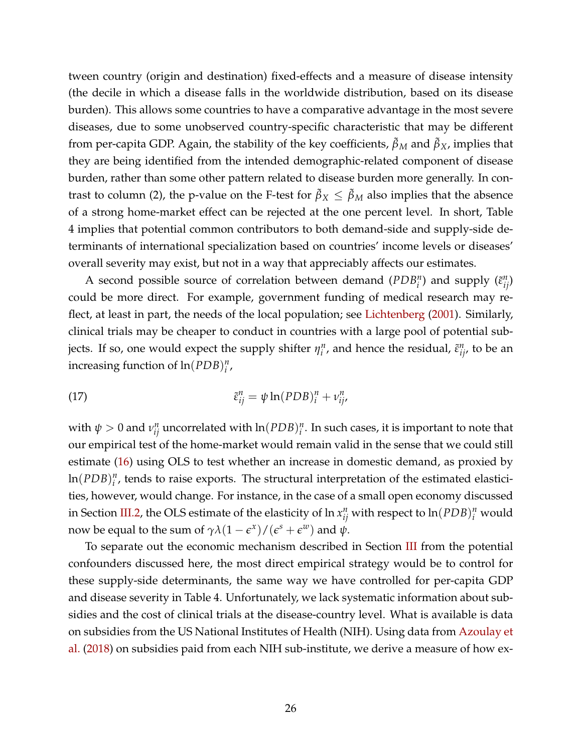tween country (origin and destination) fixed-effects and a measure of disease intensity (the decile in which a disease falls in the worldwide distribution, based on its disease burden). This allows some countries to have a comparative advantage in the most severe diseases, due to some unobserved country-specific characteristic that may be different from per-capita GDP. Again, the stability of the key coefficients,  $\tilde{\beta}_M$  and  $\tilde{\beta}_X$ , implies that they are being identified from the intended demographic-related component of disease burden, rather than some other pattern related to disease burden more generally. In contrast to column (2), the p-value on the F-test for  $\tilde{\beta}_X \leq \tilde{\beta}_M$  also implies that the absence of a strong home-market effect can be rejected at the one percent level. In short, Table 4 implies that potential common contributors to both demand-side and supply-side determinants of international specialization based on countries' income levels or diseases' overall severity may exist, but not in a way that appreciably affects our estimates.

A second possible source of correlation between demand  $(PDB_i^n)$  and supply  $(\tilde{\varepsilon}_{ij}^n)$ could be more direct. For example, government funding of medical research may re-flect, at least in part, the needs of the local population; see [Lichtenberg](#page-42-8) [\(2001\)](#page-42-8). Similarly, clinical trials may be cheaper to conduct in countries with a large pool of potential subjects. If so, one would expect the supply shifter *η n*  $\sum_{i}^{n}$ , and hence the residual,  $\tilde{\epsilon}^n_{ij'}$  to be an increasing function of ln(*PDB*) *n i* ,

(17) 
$$
\tilde{\varepsilon}_{ij}^n = \psi \ln(PDB)_i^n + v_{ij}^n,
$$

with  $\psi > 0$  and  $\nu_{ij}^n$  uncorrelated with  $\ln(PDB)_{i}^n$  $i<sub>i</sub><sup>n</sup>$ . In such cases, it is important to note that our empirical test of the home-market would remain valid in the sense that we could still estimate [\(16\)](#page-23-2) using OLS to test whether an increase in domestic demand, as proxied by  $ln(PDB)_i^n$  $i<sub>i</sub>$ , tends to raise exports. The structural interpretation of the estimated elasticities, however, would change. For instance, in the case of a small open economy discussed in Section [III.2,](#page-7-0) the OLS estimate of the elasticity of  $\ln x_{ij}^n$  with respect to  $\ln(PDB)_{i}^n$  would now be equal to the sum of  $\gamma \lambda (1 - \epsilon^x) / (\epsilon^s + \epsilon^w)$  and  $\psi$ .

To separate out the economic mechanism described in Section [III](#page-5-0) from the potential confounders discussed here, the most direct empirical strategy would be to control for these supply-side determinants, the same way we have controlled for per-capita GDP and disease severity in Table 4. Unfortunately, we lack systematic information about subsidies and the cost of clinical trials at the disease-country level. What is available is data on subsidies from the US National Institutes of Health (NIH). Using data from [Azoulay et](#page-39-8) [al.](#page-39-8) [\(2018\)](#page-39-8) on subsidies paid from each NIH sub-institute, we derive a measure of how ex-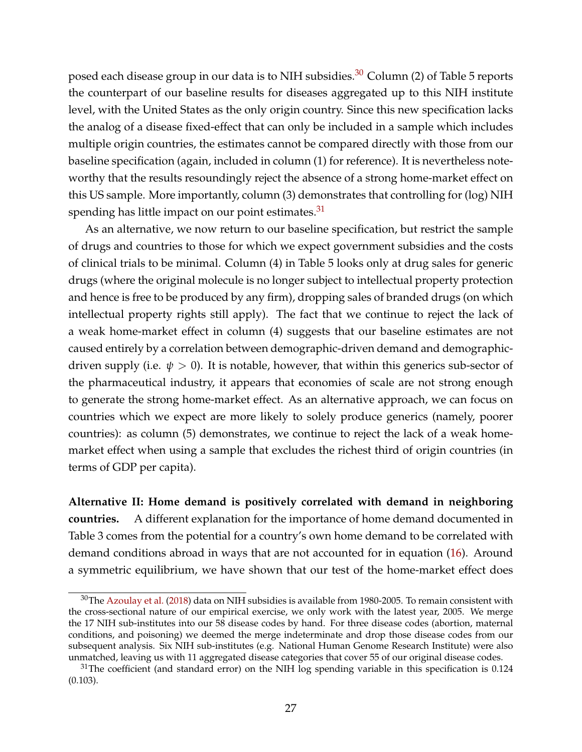posed each disease group in our data is to NIH subsidies.<sup>[30](#page-27-0)</sup> Column (2) of Table 5 reports the counterpart of our baseline results for diseases aggregated up to this NIH institute level, with the United States as the only origin country. Since this new specification lacks the analog of a disease fixed-effect that can only be included in a sample which includes multiple origin countries, the estimates cannot be compared directly with those from our baseline specification (again, included in column (1) for reference). It is nevertheless noteworthy that the results resoundingly reject the absence of a strong home-market effect on this US sample. More importantly, column (3) demonstrates that controlling for (log) NIH spending has little impact on our point estimates.<sup>[31](#page-27-1)</sup>

As an alternative, we now return to our baseline specification, but restrict the sample of drugs and countries to those for which we expect government subsidies and the costs of clinical trials to be minimal. Column (4) in Table 5 looks only at drug sales for generic drugs (where the original molecule is no longer subject to intellectual property protection and hence is free to be produced by any firm), dropping sales of branded drugs (on which intellectual property rights still apply). The fact that we continue to reject the lack of a weak home-market effect in column (4) suggests that our baseline estimates are not caused entirely by a correlation between demographic-driven demand and demographicdriven supply (i.e.  $\psi > 0$ ). It is notable, however, that within this generics sub-sector of the pharmaceutical industry, it appears that economies of scale are not strong enough to generate the strong home-market effect. As an alternative approach, we can focus on countries which we expect are more likely to solely produce generics (namely, poorer countries): as column (5) demonstrates, we continue to reject the lack of a weak homemarket effect when using a sample that excludes the richest third of origin countries (in terms of GDP per capita).

**Alternative II: Home demand is positively correlated with demand in neighboring countries.** A different explanation for the importance of home demand documented in Table 3 comes from the potential for a country's own home demand to be correlated with demand conditions abroad in ways that are not accounted for in equation [\(16\)](#page-23-2). Around a symmetric equilibrium, we have shown that our test of the home-market effect does

<span id="page-27-0"></span> $30$ The [Azoulay et al.](#page-39-8) [\(2018\)](#page-39-8) data on NIH subsidies is available from 1980-2005. To remain consistent with the cross-sectional nature of our empirical exercise, we only work with the latest year, 2005. We merge the 17 NIH sub-institutes into our 58 disease codes by hand. For three disease codes (abortion, maternal conditions, and poisoning) we deemed the merge indeterminate and drop those disease codes from our subsequent analysis. Six NIH sub-institutes (e.g. National Human Genome Research Institute) were also unmatched, leaving us with 11 aggregated disease categories that cover 55 of our original disease codes.

<span id="page-27-1"></span> $31$ The coefficient (and standard error) on the NIH log spending variable in this specification is 0.124 (0.103).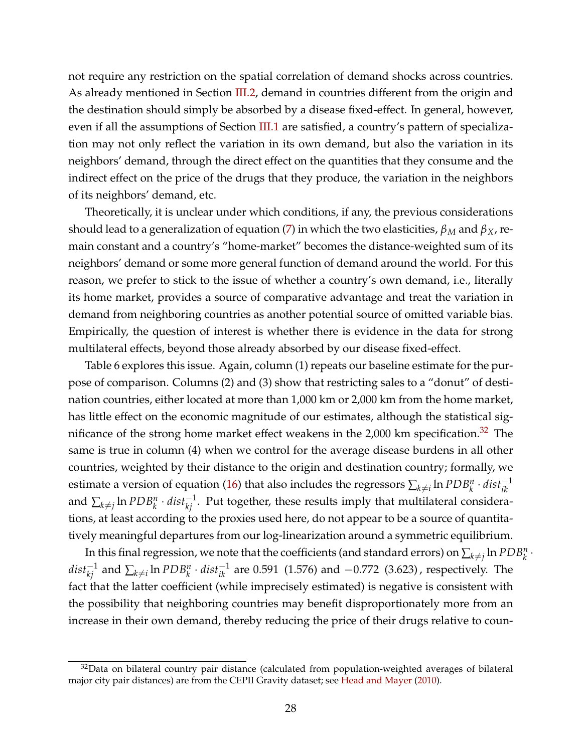not require any restriction on the spatial correlation of demand shocks across countries. As already mentioned in Section [III.2,](#page-7-0) demand in countries different from the origin and the destination should simply be absorbed by a disease fixed-effect. In general, however, even if all the assumptions of Section [III.1](#page-6-0) are satisfied, a country's pattern of specialization may not only reflect the variation in its own demand, but also the variation in its neighbors' demand, through the direct effect on the quantities that they consume and the indirect effect on the price of the drugs that they produce, the variation in the neighbors of its neighbors' demand, etc.

Theoretically, it is unclear under which conditions, if any, the previous considerations should lead to a generalization of equation [\(7\)](#page-8-1) in which the two elasticities,  $β<sub>M</sub>$  and  $β<sub>X</sub>$ , remain constant and a country's "home-market" becomes the distance-weighted sum of its neighbors' demand or some more general function of demand around the world. For this reason, we prefer to stick to the issue of whether a country's own demand, i.e., literally its home market, provides a source of comparative advantage and treat the variation in demand from neighboring countries as another potential source of omitted variable bias. Empirically, the question of interest is whether there is evidence in the data for strong multilateral effects, beyond those already absorbed by our disease fixed-effect.

Table 6 explores this issue. Again, column (1) repeats our baseline estimate for the purpose of comparison. Columns (2) and (3) show that restricting sales to a "donut" of destination countries, either located at more than 1,000 km or 2,000 km from the home market, has little effect on the economic magnitude of our estimates, although the statistical significance of the strong home market effect weakens in the  $2,000$  km specification.<sup>[32](#page-28-0)</sup> The same is true in column (4) when we control for the average disease burdens in all other countries, weighted by their distance to the origin and destination country; formally, we estimate a version of equation [\(16\)](#page-23-2) that also includes the regressors  $\sum_{k\neq i}\ln{PDB_k^n\cdot dist^{-1}_{ik}}$ and  $\sum_{k\neq j}\ln{PDB_k^n\cdot dist_{kj}^{-1}}.$  Put together, these results imply that multilateral considerations, at least according to the proxies used here, do not appear to be a source of quantitatively meaningful departures from our log-linearization around a symmetric equilibrium.

In this final regression, we note that the coefficients (and standard errors) on  $\sum_{k\neq j}\ln{PDB_k^n}$  .  $dist_{kj}^{-1}$  and  $\sum_{k\neq i}\ln{PDB_k^n}\cdot dist_{ik}^{-1}$  are 0.591 (1.576) and  $-0.772$  (3.623), respectively. The fact that the latter coefficient (while imprecisely estimated) is negative is consistent with the possibility that neighboring countries may benefit disproportionately more from an increase in their own demand, thereby reducing the price of their drugs relative to coun-

<span id="page-28-0"></span> $32$ Data on bilateral country pair distance (calculated from population-weighted averages of bilateral major city pair distances) are from the CEPII Gravity dataset; see [Head and Mayer](#page-41-11) [\(2010\)](#page-41-11).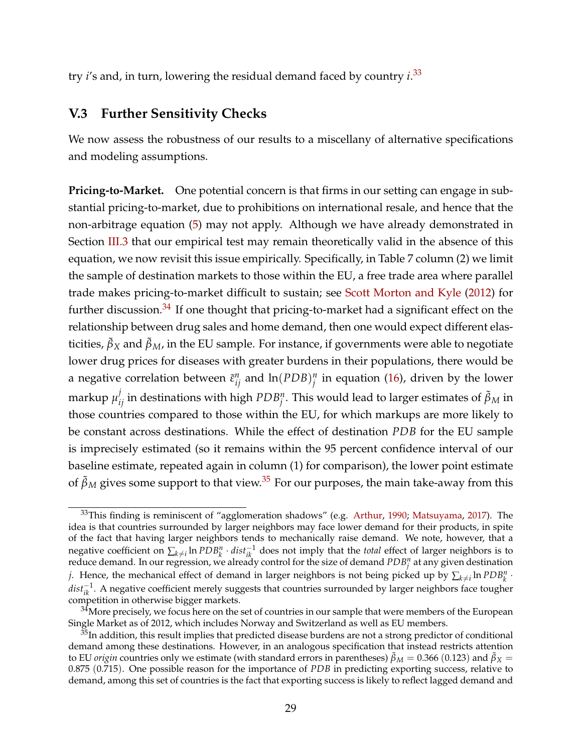try *i*'s and, in turn, lowering the residual demand faced by country *i*. [33](#page-29-1)

#### <span id="page-29-0"></span>**V.3 Further Sensitivity Checks**

We now assess the robustness of our results to a miscellany of alternative specifications and modeling assumptions.

**Pricing-to-Market.** One potential concern is that firms in our setting can engage in substantial pricing-to-market, due to prohibitions on international resale, and hence that the non-arbitrage equation [\(5\)](#page-7-4) may not apply. Although we have already demonstrated in Section [III.3](#page-12-0) that our empirical test may remain theoretically valid in the absence of this equation, we now revisit this issue empirically. Specifically, in Table 7 column (2) we limit the sample of destination markets to those within the EU, a free trade area where parallel trade makes pricing-to-market difficult to sustain; see [Scott Morton and Kyle](#page-42-9) [\(2012\)](#page-42-9) for further discussion.<sup>[34](#page-29-2)</sup> If one thought that pricing-to-market had a significant effect on the relationship between drug sales and home demand, then one would expect different elasticities, *β*˜ *<sup>X</sup>* and *β*˜ *<sup>M</sup>*, in the EU sample. For instance, if governments were able to negotiate lower drug prices for diseases with greater burdens in their populations, there would be a negative correlation between  $\tilde{\epsilon}^n_{ij}$  and  $\ln(PDB)^n_j$  $j^n_j$  in equation [\(16\)](#page-23-2), driven by the lower markup  $\mu_{ij}^j$  in destinations with high  $PDB^n_j$ . This would lead to larger estimates of  $\tilde{\beta}_M$  in those countries compared to those within the EU, for which markups are more likely to be constant across destinations. While the effect of destination *PDB* for the EU sample is imprecisely estimated (so it remains within the 95 percent confidence interval of our baseline estimate, repeated again in column (1) for comparison), the lower point estimate of *β*˜ *<sup>M</sup>* gives some support to that view.[35](#page-29-3) For our purposes, the main take-away from this

<span id="page-29-1"></span> $33$ This finding is reminiscent of "agglomeration shadows" (e.g. [Arthur,](#page-39-9) [1990;](#page-39-9) [Matsuyama,](#page-42-10) [2017\)](#page-42-10). The idea is that countries surrounded by larger neighbors may face lower demand for their products, in spite of the fact that having larger neighbors tends to mechanically raise demand. We note, however, that a negative coefficient on  $\sum_{k\neq i}$  ln  $PDB_k^n \cdot dist_{ik}^{-1}$  does not imply that the *total* effect of larger neighbors is to reduce demand. In our regression, we already control for the size of demand *PDB<sup>n</sup> j* at any given destination *j*. Hence, the mechanical effect of demand in larger neighbors is not being picked up by  $\sum_{k\neq i} \ln PDB_k^n$ . *dist*<sub>i</sub><sup>1</sup>. A negative coefficient merely suggests that countries surrounded by larger neighbors face tougher competition in otherwise bigger markets.

<span id="page-29-2"></span><sup>&</sup>lt;sup>34</sup>More precisely, we focus here on the set of countries in our sample that were members of the European Single Market as of 2012, which includes Norway and Switzerland as well as EU members.

<span id="page-29-3"></span> $35$ In addition, this result implies that predicted disease burdens are not a strong predictor of conditional demand among these destinations. However, in an analogous specification that instead restricts attention to EU *origin* countries only we estimate (with standard errors in parentheses)  $\tilde{\beta}_M = 0.366$  (0.123) and  $\tilde{\beta}_X =$ 0.875 (0.715). One possible reason for the importance of *PDB* in predicting exporting success, relative to demand, among this set of countries is the fact that exporting success is likely to reflect lagged demand and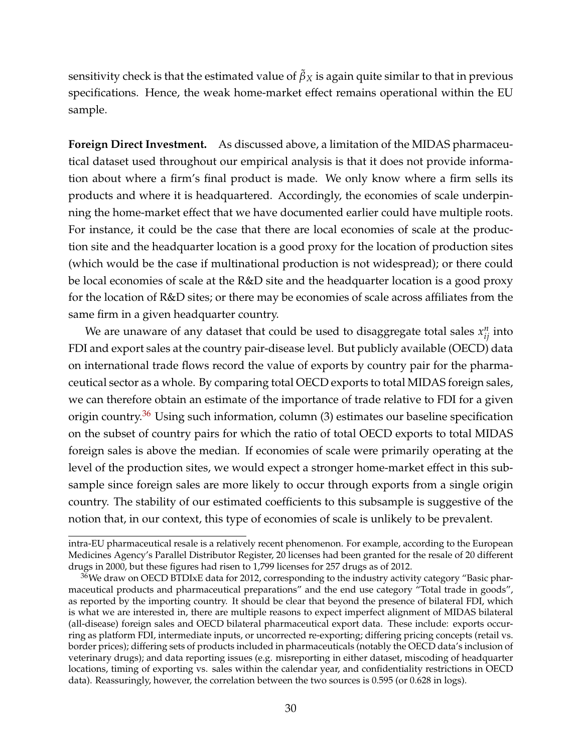sensitivity check is that the estimated value of  $\tilde{\beta}_X$  is again quite similar to that in previous specifications. Hence, the weak home-market effect remains operational within the EU sample.

**Foreign Direct Investment.** As discussed above, a limitation of the MIDAS pharmaceutical dataset used throughout our empirical analysis is that it does not provide information about where a firm's final product is made. We only know where a firm sells its products and where it is headquartered. Accordingly, the economies of scale underpinning the home-market effect that we have documented earlier could have multiple roots. For instance, it could be the case that there are local economies of scale at the production site and the headquarter location is a good proxy for the location of production sites (which would be the case if multinational production is not widespread); or there could be local economies of scale at the R&D site and the headquarter location is a good proxy for the location of R&D sites; or there may be economies of scale across affiliates from the same firm in a given headquarter country.

We are unaware of any dataset that could be used to disaggregate total sales  $x_{ij}^n$  into FDI and export sales at the country pair-disease level. But publicly available (OECD) data on international trade flows record the value of exports by country pair for the pharmaceutical sector as a whole. By comparing total OECD exports to total MIDAS foreign sales, we can therefore obtain an estimate of the importance of trade relative to FDI for a given origin country.<sup>[36](#page-30-0)</sup> Using such information, column  $(3)$  estimates our baseline specification on the subset of country pairs for which the ratio of total OECD exports to total MIDAS foreign sales is above the median. If economies of scale were primarily operating at the level of the production sites, we would expect a stronger home-market effect in this subsample since foreign sales are more likely to occur through exports from a single origin country. The stability of our estimated coefficients to this subsample is suggestive of the notion that, in our context, this type of economies of scale is unlikely to be prevalent.

intra-EU pharmaceutical resale is a relatively recent phenomenon. For example, according to the European Medicines Agency's Parallel Distributor Register, 20 licenses had been granted for the resale of 20 different drugs in 2000, but these figures had risen to 1,799 licenses for 257 drugs as of 2012.

<span id="page-30-0"></span> $36$ We draw on OECD BTDIxE data for 2012, corresponding to the industry activity category "Basic pharmaceutical products and pharmaceutical preparations" and the end use category "Total trade in goods", as reported by the importing country. It should be clear that beyond the presence of bilateral FDI, which is what we are interested in, there are multiple reasons to expect imperfect alignment of MIDAS bilateral (all-disease) foreign sales and OECD bilateral pharmaceutical export data. These include: exports occurring as platform FDI, intermediate inputs, or uncorrected re-exporting; differing pricing concepts (retail vs. border prices); differing sets of products included in pharmaceuticals (notably the OECD data's inclusion of veterinary drugs); and data reporting issues (e.g. misreporting in either dataset, miscoding of headquarter locations, timing of exporting vs. sales within the calendar year, and confidentiality restrictions in OECD data). Reassuringly, however, the correlation between the two sources is 0.595 (or 0.628 in logs).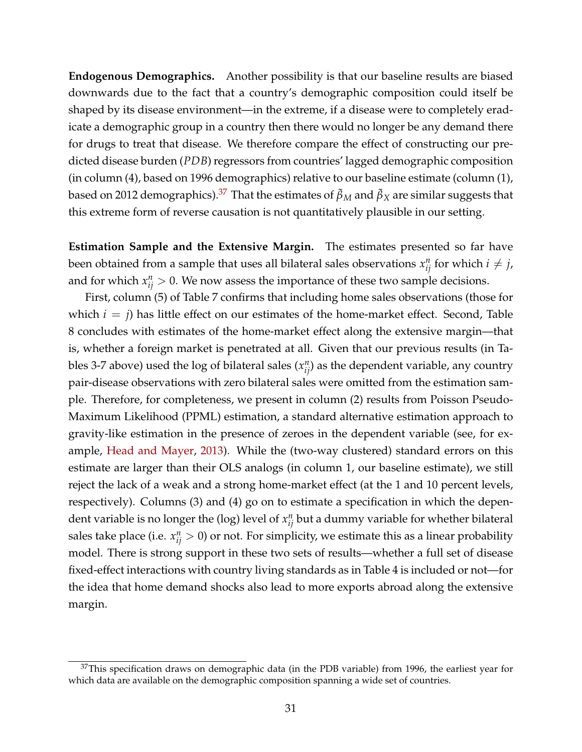**Endogenous Demographics.** Another possibility is that our baseline results are biased downwards due to the fact that a country's demographic composition could itself be shaped by its disease environment—in the extreme, if a disease were to completely eradicate a demographic group in a country then there would no longer be any demand there for drugs to treat that disease. We therefore compare the effect of constructing our predicted disease burden (*PDB*) regressors from countries' lagged demographic composition (in column (4), based on 1996 demographics) relative to our baseline estimate (column (1), based on 2012 demographics). $^{37}$  $^{37}$  $^{37}$  That the estimates of  $\tilde{\beta}_M$  and  $\tilde{\beta}_X$  are similar suggests that this extreme form of reverse causation is not quantitatively plausible in our setting.

**Estimation Sample and the Extensive Margin.** The estimates presented so far have been obtained from a sample that uses all bilateral sales observations  $x_{ij}^n$  for which  $i \neq j$ , and for which  $x_{ij}^n > 0$ . We now assess the importance of these two sample decisions.

First, column (5) of Table 7 confirms that including home sales observations (those for which  $i = j$ ) has little effect on our estimates of the home-market effect. Second, Table 8 concludes with estimates of the home-market effect along the extensive margin—that is, whether a foreign market is penetrated at all. Given that our previous results (in Tables 3-7 above) used the log of bilateral sales (*x n ij*) as the dependent variable, any country pair-disease observations with zero bilateral sales were omitted from the estimation sample. Therefore, for completeness, we present in column (2) results from Poisson Pseudo-Maximum Likelihood (PPML) estimation, a standard alternative estimation approach to gravity-like estimation in the presence of zeroes in the dependent variable (see, for example, [Head and Mayer,](#page-41-12) [2013\)](#page-41-12). While the (two-way clustered) standard errors on this estimate are larger than their OLS analogs (in column 1, our baseline estimate), we still reject the lack of a weak and a strong home-market effect (at the 1 and 10 percent levels, respectively). Columns (3) and (4) go on to estimate a specification in which the dependent variable is no longer the (log) level of *x n ij* but a dummy variable for whether bilateral sales take place (i.e.  $x_{ij}^n > 0$ ) or not. For simplicity, we estimate this as a linear probability model. There is strong support in these two sets of results—whether a full set of disease fixed-effect interactions with country living standards as in Table 4 is included or not—for the idea that home demand shocks also lead to more exports abroad along the extensive margin.

<span id="page-31-0"></span> $37$ This specification draws on demographic data (in the PDB variable) from 1996, the earliest year for which data are available on the demographic composition spanning a wide set of countries.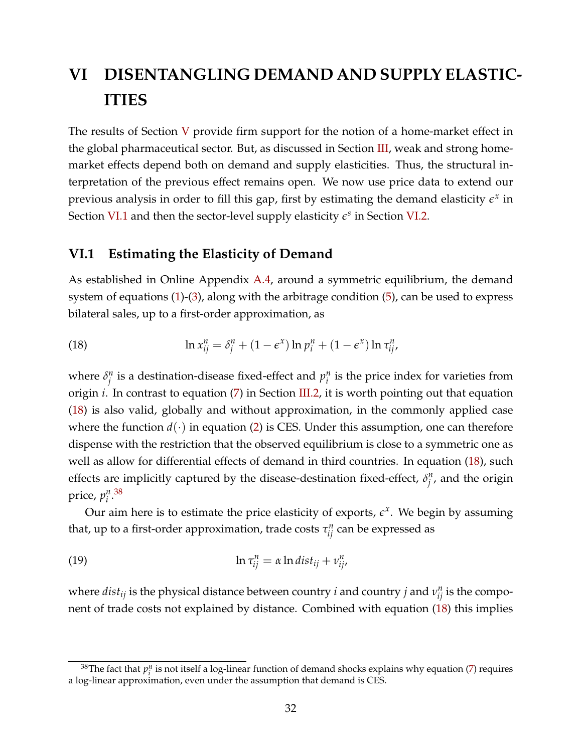## <span id="page-32-0"></span>**VI DISENTANGLING DEMAND AND SUPPLY ELASTIC-ITIES**

The results of Section [V](#page-22-0) provide firm support for the notion of a home-market effect in the global pharmaceutical sector. But, as discussed in Section [III,](#page-5-0) weak and strong homemarket effects depend both on demand and supply elasticities. Thus, the structural interpretation of the previous effect remains open. We now use price data to extend our previous analysis in order to fill this gap, first by estimating the demand elasticity  $\epsilon^x$  in Section [VI.1](#page-32-1) and then the sector-level supply elasticity  $\epsilon^s$  in Section [VI.2.](#page-34-0)

#### <span id="page-32-1"></span>**VI.1 Estimating the Elasticity of Demand**

As established in Online Appendix [A.4,](#page-0-0) around a symmetric equilibrium, the demand system of equations  $(1)-(3)$  $(1)-(3)$  $(1)-(3)$ , along with the arbitrage condition  $(5)$ , can be used to express bilateral sales, up to a first-order approximation, as

<span id="page-32-2"></span>(18) 
$$
\ln x_{ij}^{n} = \delta_{j}^{n} + (1 - \epsilon^{x}) \ln p_{i}^{n} + (1 - \epsilon^{x}) \ln \tau_{ij}^{n},
$$

where  $\delta_i^n$  $\sum_{i=1}^{n}$  is a destination-disease fixed-effect and  $p_i^n$  $\binom{n}{i}$  is the price index for varieties from origin *i*. In contrast to equation [\(7\)](#page-8-1) in Section [III.2,](#page-7-0) it is worth pointing out that equation [\(18\)](#page-32-2) is also valid, globally and without approximation, in the commonly applied case where the function  $d(\cdot)$  in equation [\(2\)](#page-6-3) is CES. Under this assumption, one can therefore dispense with the restriction that the observed equilibrium is close to a symmetric one as well as allow for differential effects of demand in third countries. In equation [\(18\)](#page-32-2), such effects are implicitly captured by the disease-destination fixed-effect, *δ n j* , and the origin price, *p n i* . [38](#page-32-3)

Our aim here is to estimate the price elasticity of exports,  $\epsilon^x$ . We begin by assuming that, up to a first-order approximation, trade costs  $\tau_{ij}^n$  can be expressed as

<span id="page-32-4"></span>(19) 
$$
\ln \tau_{ij}^{n} = \alpha \ln dist_{ij} + v_{ij}^{n},
$$

where  $dist_{ij}$  is the physical distance between country  $i$  and country  $j$  and  $\nu_{ij}^{n}$  is the component of trade costs not explained by distance. Combined with equation [\(18\)](#page-32-2) this implies

<span id="page-32-3"></span><sup>&</sup>lt;sup>38</sup>The fact that  $p_i^n$  is not itself a log-linear function of demand shocks explains why equation [\(7\)](#page-8-1) requires a log-linear approximation, even under the assumption that demand is CES.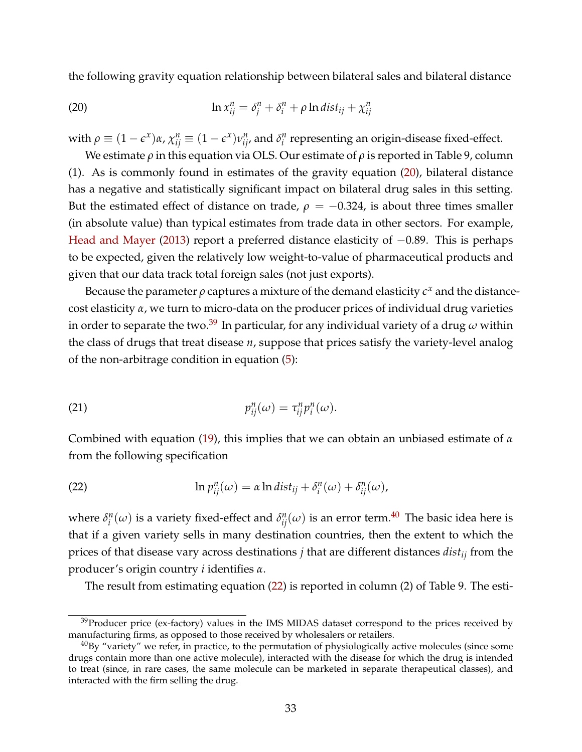the following gravity equation relationship between bilateral sales and bilateral distance

<span id="page-33-0"></span>(20) 
$$
\ln x_{ij}^n = \delta_j^n + \delta_i^n + \rho \ln dist_{ij} + \chi_{ij}^n
$$

*w*ith  $ρ \equiv (1 - ε^x)α$ ,  $χ_{ij}^n \equiv (1 - ε^x)ν_{ij}^n$ , and  $δ_i^n$  $\frac{n}{i}$  representing an origin-disease fixed-effect.

We estimate *ρ* in this equation via OLS. Our estimate of *ρ* is reported in Table 9, column (1). As is commonly found in estimates of the gravity equation [\(20\)](#page-33-0), bilateral distance has a negative and statistically significant impact on bilateral drug sales in this setting. But the estimated effect of distance on trade,  $\rho = -0.324$ , is about three times smaller (in absolute value) than typical estimates from trade data in other sectors. For example, [Head and Mayer](#page-41-12) [\(2013\)](#page-41-12) report a preferred distance elasticity of  $-0.89$ . This is perhaps to be expected, given the relatively low weight-to-value of pharmaceutical products and given that our data track total foreign sales (not just exports).

Because the parameter  $\rho$  captures a mixture of the demand elasticity  $\epsilon^x$  and the distancecost elasticity *α*, we turn to micro-data on the producer prices of individual drug varieties in order to separate the two.<sup>[39](#page-33-1)</sup> In particular, for any individual variety of a drug  $\omega$  within the class of drugs that treat disease *n*, suppose that prices satisfy the variety-level analog of the non-arbitrage condition in equation [\(5\)](#page-7-4):

(21) 
$$
p_{ij}^n(\omega) = \tau_{ij}^n p_i^n(\omega).
$$

Combined with equation [\(19\)](#page-32-4), this implies that we can obtain an unbiased estimate of *α* from the following specification

<span id="page-33-3"></span>(22) 
$$
\ln p_{ij}^n(\omega) = \alpha \ln dist_{ij} + \delta_i^n(\omega) + \delta_{ij}^n(\omega),
$$

where  $\delta_i^n$  $\int_a^n(\omega)$  is a variety fixed-effect and  $\delta_{ij}^n(\omega)$  is an error term.<sup>[40](#page-33-2)</sup> The basic idea here is that if a given variety sells in many destination countries, then the extent to which the prices of that disease vary across destinations *j* that are different distances *distij* from the producer's origin country *i* identifies *α*.

The result from estimating equation [\(22\)](#page-33-3) is reported in column (2) of Table 9. The esti-

<span id="page-33-1"></span> $39$ Producer price (ex-factory) values in the IMS MIDAS dataset correspond to the prices received by manufacturing firms, as opposed to those received by wholesalers or retailers.

<span id="page-33-2"></span> $^{40}$ By "variety" we refer, in practice, to the permutation of physiologically active molecules (since some drugs contain more than one active molecule), interacted with the disease for which the drug is intended to treat (since, in rare cases, the same molecule can be marketed in separate therapeutical classes), and interacted with the firm selling the drug.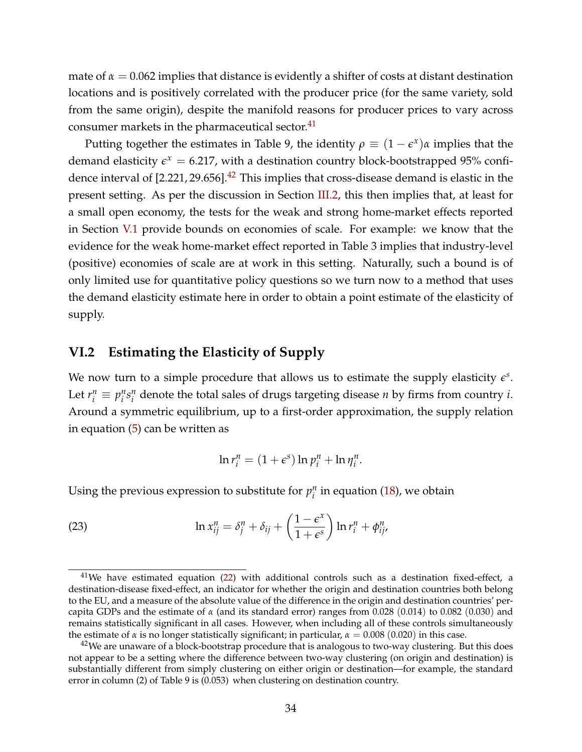mate of  $\alpha = 0.062$  implies that distance is evidently a shifter of costs at distant destination locations and is positively correlated with the producer price (for the same variety, sold from the same origin), despite the manifold reasons for producer prices to vary across consumer markets in the pharmaceutical sector.<sup>[41](#page-34-1)</sup>

Putting together the estimates in Table 9, the identity  $\rho \equiv (1 - \epsilon^x) \alpha$  implies that the demand elasticity  $\epsilon^x = 6.217$ , with a destination country block-bootstrapped 95% confidence interval of  $[2.221, 29.656]$ .<sup>[42](#page-34-2)</sup> This implies that cross-disease demand is elastic in the present setting. As per the discussion in Section [III.2,](#page-7-0) this then implies that, at least for a small open economy, the tests for the weak and strong home-market effects reported in Section [V.1](#page-22-3) provide bounds on economies of scale. For example: we know that the evidence for the weak home-market effect reported in Table 3 implies that industry-level (positive) economies of scale are at work in this setting. Naturally, such a bound is of only limited use for quantitative policy questions so we turn now to a method that uses the demand elasticity estimate here in order to obtain a point estimate of the elasticity of supply.

#### <span id="page-34-0"></span>**VI.2 Estimating the Elasticity of Supply**

We now turn to a simple procedure that allows us to estimate the supply elasticity  $\epsilon^s$ . Let  $r_i^n \equiv p_i^n$  $\int_{i}^{n} S_i^n$ *i* denote the total sales of drugs targeting disease *n* by firms from country *i*. Around a symmetric equilibrium, up to a first-order approximation, the supply relation in equation [\(5\)](#page-7-4) can be written as

<span id="page-34-3"></span>
$$
\ln r_i^n = (1 + \epsilon^s) \ln p_i^n + \ln \eta_i^n.
$$

Using the previous expression to substitute for  $p_i^n$  $\binom{n}{i}$  in equation [\(18\)](#page-32-2), we obtain

(23) 
$$
\ln x_{ij}^{n} = \delta_{j}^{n} + \delta_{ij} + \left(\frac{1-\epsilon^{x}}{1+\epsilon^{s}}\right) \ln r_{i}^{n} + \phi_{ij}^{n},
$$

<span id="page-34-1"></span> $41$ We have estimated equation [\(22\)](#page-33-3) with additional controls such as a destination fixed-effect, a destination-disease fixed-effect, an indicator for whether the origin and destination countries both belong to the EU, and a measure of the absolute value of the difference in the origin and destination countries' percapita GDPs and the estimate of *α* (and its standard error) ranges from 0.028 (0.014) to 0.082 (0.030) and remains statistically significant in all cases. However, when including all of these controls simultaneously the estimate of *α* is no longer statistically significant; in particular,  $\alpha = 0.008$  (0.020) in this case.

<span id="page-34-2"></span> $42$ We are unaware of a block-bootstrap procedure that is analogous to two-way clustering. But this does not appear to be a setting where the difference between two-way clustering (on origin and destination) is substantially different from simply clustering on either origin or destination—for example, the standard error in column (2) of Table 9 is (0.053) when clustering on destination country.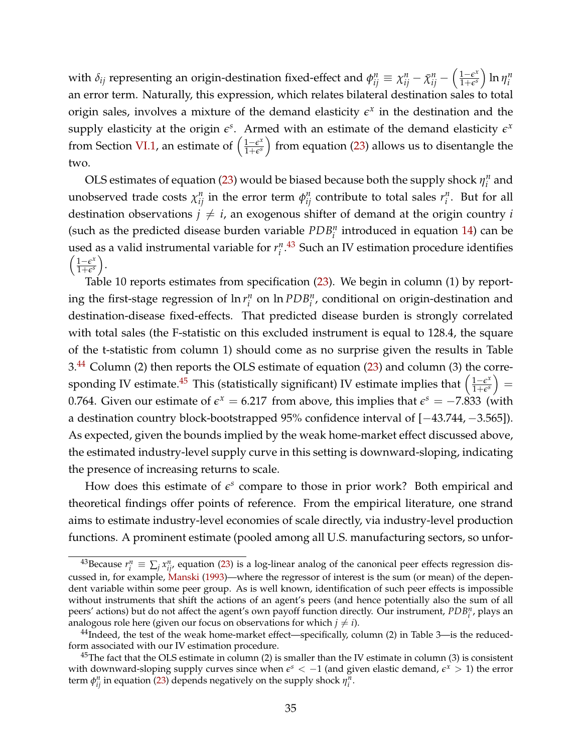with  $\delta_{ij}$  representing an origin-destination fixed-effect and  $\phi^n_{ij}\equiv \chi^n_{ij}-\bar{\chi}^n_{ij}-\left(\frac{1-e^x}{1+e^s}\right)$  $\frac{1-\epsilon^x}{1+\epsilon^s}\Big)\ln\eta_i^n$ *i* an error term. Naturally, this expression, which relates bilateral destination sales to total origin sales, involves a mixture of the demand elasticity  $\epsilon^x$  in the destination and the supply elasticity at the origin  $\epsilon^s$ . Armed with an estimate of the demand elasticity  $\epsilon^x$ from Section [VI.1,](#page-32-1) an estimate of  $\left(\frac{1-e^{x}}{1+e^{s}}\right)$  $\frac{1-\epsilon^x}{1+\epsilon^s}\Big)$  from equation [\(23\)](#page-34-3) allows us to disentangle the two.

OLS estimates of equation [\(23\)](#page-34-3) would be biased because both the supply shock *η n*  $\binom{n}{i}$  and unobserved trade costs  $\chi_{ij}^n$  in the error term  $\phi_{ij}^n$  contribute to total sales  $r_i^n$  $i^n$ . But for all destination observations  $j \neq i$ , an exogenous shifter of demand at the origin country *i* (such as the predicted disease burden variable  $PDB_i^n$  introduced in equation [14\)](#page-20-3) can be used as a valid instrumental variable for  $r_i^n$  $\int_{i}^{n}$ .<sup>[43](#page-35-0)</sup> Such an IV estimation procedure identifies  $\left(1-e^{x}\right)$  $rac{1-\epsilon^x}{1+\epsilon^s}$ .

Table 10 reports estimates from specification [\(23\)](#page-34-3). We begin in column (1) by reporting the first-stage regression of  $\ln r_i^n$  $\sum_{i=1}^{n}$  on  $\ln PDB_i^n$ , conditional on origin-destination and destination-disease fixed-effects. That predicted disease burden is strongly correlated with total sales (the F-statistic on this excluded instrument is equal to 128.4, the square of the t-statistic from column 1) should come as no surprise given the results in Table 3.[44](#page-35-1) Column (2) then reports the OLS estimate of equation [\(23\)](#page-34-3) and column (3) the corre-sponding IV estimate.<sup>[45](#page-35-2)</sup> This (statistically significant) IV estimate implies that  $\left(\frac{1-e^x}{1+e^s}\right)$  $\frac{1-\epsilon^x}{1+\epsilon^s}$  = 0.764. Given our estimate of  $\epsilon^x = 6.217$  from above, this implies that  $\epsilon^s = -7.833$  (with a destination country block-bootstrapped 95% confidence interval of [−43.744, −3.565]). As expected, given the bounds implied by the weak home-market effect discussed above, the estimated industry-level supply curve in this setting is downward-sloping, indicating the presence of increasing returns to scale.

How does this estimate of  $\epsilon^s$  compare to those in prior work? Both empirical and theoretical findings offer points of reference. From the empirical literature, one strand aims to estimate industry-level economies of scale directly, via industry-level production functions. A prominent estimate (pooled among all U.S. manufacturing sectors, so unfor-

<span id="page-35-0"></span><sup>&</sup>lt;sup>43</sup>Because  $r_i^n \equiv \sum_j x_{ij}^n$ , equation [\(23\)](#page-34-3) is a log-linear analog of the canonical peer effects regression discussed in, for example, [Manski](#page-42-11) [\(1993\)](#page-42-11)—where the regressor of interest is the sum (or mean) of the dependent variable within some peer group. As is well known, identification of such peer effects is impossible without instruments that shift the actions of an agent's peers (and hence potentially also the sum of all peers' actions) but do not affect the agent's own payoff function directly. Our instrument, *PDB<sup>n</sup> i* , plays an analogous role here (given our focus on observations for which  $j \neq i$ ).

<span id="page-35-1"></span><sup>44</sup>Indeed, the test of the weak home-market effect—specifically, column (2) in Table 3—is the reducedform associated with our IV estimation procedure.

<span id="page-35-2"></span> $45$ The fact that the OLS estimate in column (2) is smaller than the IV estimate in column (3) is consistent with downward-sloping supply curves since when  $\epsilon^s < -1$  (and given elastic demand,  $\epsilon^x > 1$ ) the error term  $\phi_{ij}^n$  in equation [\(23\)](#page-34-3) depends negatively on the supply shock  $\eta_i^n$ .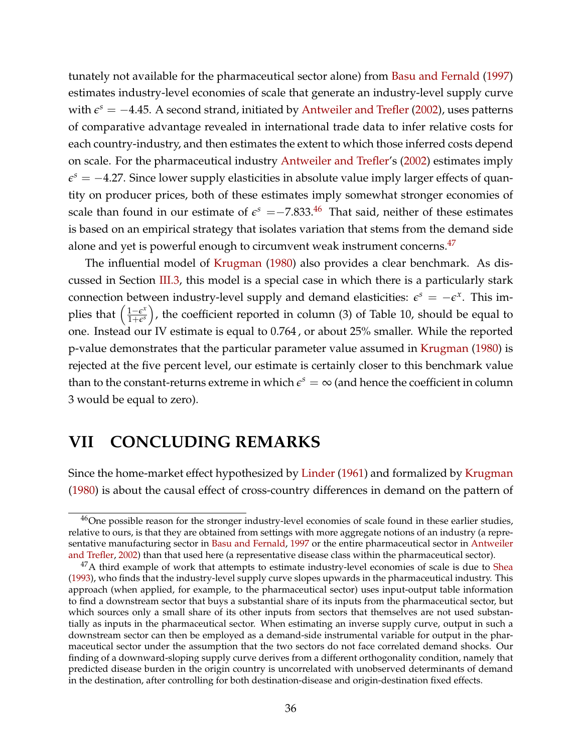tunately not available for the pharmaceutical sector alone) from [Basu and Fernald](#page-39-10) [\(1997\)](#page-39-10) estimates industry-level economies of scale that generate an industry-level supply curve with  $\epsilon^s = -4.45$ . A second strand, initiated by [Antweiler and Trefler](#page-39-11) [\(2002\)](#page-39-11), uses patterns of comparative advantage revealed in international trade data to infer relative costs for each country-industry, and then estimates the extent to which those inferred costs depend on scale. For the pharmaceutical industry [Antweiler and Trefler'](#page-39-11)s [\(2002\)](#page-39-11) estimates imply  $\varepsilon$ <sup>*s*</sup> = −4.27. Since lower supply elasticities in absolute value imply larger effects of quantity on producer prices, both of these estimates imply somewhat stronger economies of scale than found in our estimate of  $\varepsilon$ <sup>s</sup> =−7.833.<sup>[46](#page-36-0)</sup> That said, neither of these estimates is based on an empirical strategy that isolates variation that stems from the demand side alone and yet is powerful enough to circumvent weak instrument concerns.<sup>[47](#page-36-1)</sup>

The influential model of [Krugman](#page-42-1) [\(1980\)](#page-42-1) also provides a clear benchmark. As discussed in Section [III.3,](#page-12-0) this model is a special case in which there is a particularly stark connection between industry-level supply and demand elasticities:  $\epsilon^s = -\epsilon^x$ . This implies that  $\left(\frac{1-\epsilon^x}{1+\epsilon^s}\right)$  $\frac{1-\epsilon^x}{1+\epsilon^s}$ ), the coefficient reported in column (3) of Table 10, should be equal to one. Instead our IV estimate is equal to 0.764 , or about 25% smaller. While the reported p-value demonstrates that the particular parameter value assumed in [Krugman](#page-42-1) [\(1980\)](#page-42-1) is rejected at the five percent level, our estimate is certainly closer to this benchmark value than to the constant-returns extreme in which  $\epsilon^s = \infty$  (and hence the coefficient in column 3 would be equal to zero).

## **VII CONCLUDING REMARKS**

Since the home-market effect hypothesized by [Linder](#page-42-0) [\(1961\)](#page-42-0) and formalized by [Krugman](#page-42-1) [\(1980\)](#page-42-1) is about the causal effect of cross-country differences in demand on the pattern of

<span id="page-36-0"></span><sup>&</sup>lt;sup>46</sup>One possible reason for the stronger industry-level economies of scale found in these earlier studies, relative to ours, is that they are obtained from settings with more aggregate notions of an industry (a representative manufacturing sector in [Basu and Fernald,](#page-39-10) [1997](#page-39-10) or the entire pharmaceutical sector in [Antweiler](#page-39-11) [and Trefler,](#page-39-11) [2002\)](#page-39-11) than that used here (a representative disease class within the pharmaceutical sector).

<span id="page-36-1"></span> $47A$  third example of work that attempts to estimate industry-level economies of scale is due to [Shea](#page-42-12) [\(1993\)](#page-42-12), who finds that the industry-level supply curve slopes upwards in the pharmaceutical industry. This approach (when applied, for example, to the pharmaceutical sector) uses input-output table information to find a downstream sector that buys a substantial share of its inputs from the pharmaceutical sector, but which sources only a small share of its other inputs from sectors that themselves are not used substantially as inputs in the pharmaceutical sector. When estimating an inverse supply curve, output in such a downstream sector can then be employed as a demand-side instrumental variable for output in the pharmaceutical sector under the assumption that the two sectors do not face correlated demand shocks. Our finding of a downward-sloping supply curve derives from a different orthogonality condition, namely that predicted disease burden in the origin country is uncorrelated with unobserved determinants of demand in the destination, after controlling for both destination-disease and origin-destination fixed effects.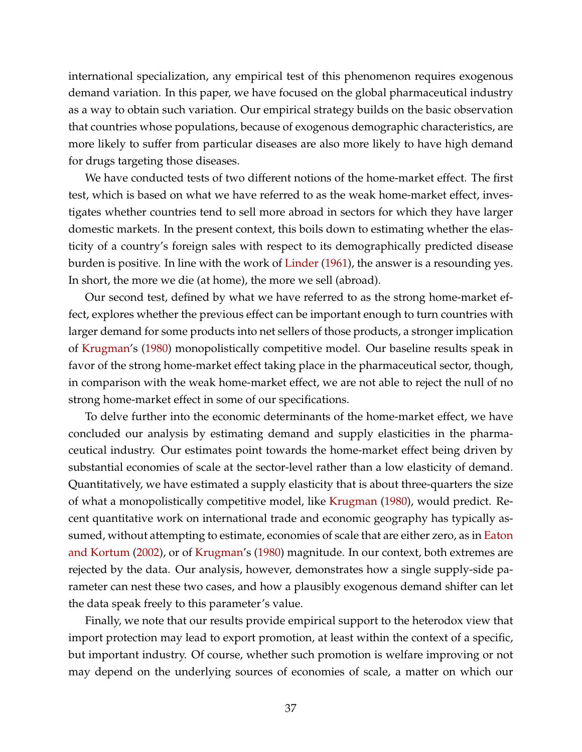international specialization, any empirical test of this phenomenon requires exogenous demand variation. In this paper, we have focused on the global pharmaceutical industry as a way to obtain such variation. Our empirical strategy builds on the basic observation that countries whose populations, because of exogenous demographic characteristics, are more likely to suffer from particular diseases are also more likely to have high demand for drugs targeting those diseases.

We have conducted tests of two different notions of the home-market effect. The first test, which is based on what we have referred to as the weak home-market effect, investigates whether countries tend to sell more abroad in sectors for which they have larger domestic markets. In the present context, this boils down to estimating whether the elasticity of a country's foreign sales with respect to its demographically predicted disease burden is positive. In line with the work of [Linder](#page-42-0) [\(1961\)](#page-42-0), the answer is a resounding yes. In short, the more we die (at home), the more we sell (abroad).

Our second test, defined by what we have referred to as the strong home-market effect, explores whether the previous effect can be important enough to turn countries with larger demand for some products into net sellers of those products, a stronger implication of [Krugman'](#page-42-1)s [\(1980\)](#page-42-1) monopolistically competitive model. Our baseline results speak in favor of the strong home-market effect taking place in the pharmaceutical sector, though, in comparison with the weak home-market effect, we are not able to reject the null of no strong home-market effect in some of our specifications.

To delve further into the economic determinants of the home-market effect, we have concluded our analysis by estimating demand and supply elasticities in the pharmaceutical industry. Our estimates point towards the home-market effect being driven by substantial economies of scale at the sector-level rather than a low elasticity of demand. Quantitatively, we have estimated a supply elasticity that is about three-quarters the size of what a monopolistically competitive model, like [Krugman](#page-42-1) [\(1980\)](#page-42-1), would predict. Recent quantitative work on international trade and economic geography has typically as-sumed, without attempting to estimate, economies of scale that are either zero, as in [Eaton](#page-40-13) [and Kortum](#page-40-13) [\(2002\)](#page-40-13), or of [Krugman'](#page-42-1)s [\(1980\)](#page-42-1) magnitude. In our context, both extremes are rejected by the data. Our analysis, however, demonstrates how a single supply-side parameter can nest these two cases, and how a plausibly exogenous demand shifter can let the data speak freely to this parameter's value.

Finally, we note that our results provide empirical support to the heterodox view that import protection may lead to export promotion, at least within the context of a specific, but important industry. Of course, whether such promotion is welfare improving or not may depend on the underlying sources of economies of scale, a matter on which our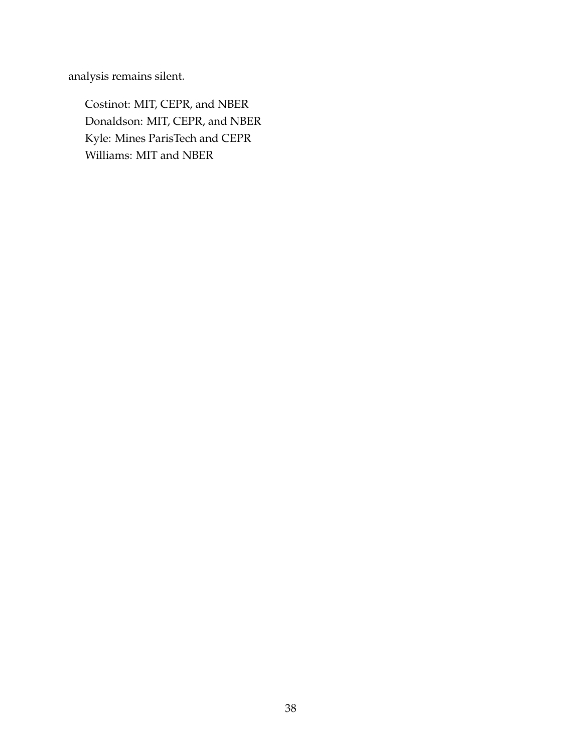analysis remains silent.

Costinot: MIT, CEPR, and NBER Donaldson: MIT, CEPR, and NBER Kyle: Mines ParisTech and CEPR Williams: MIT and NBER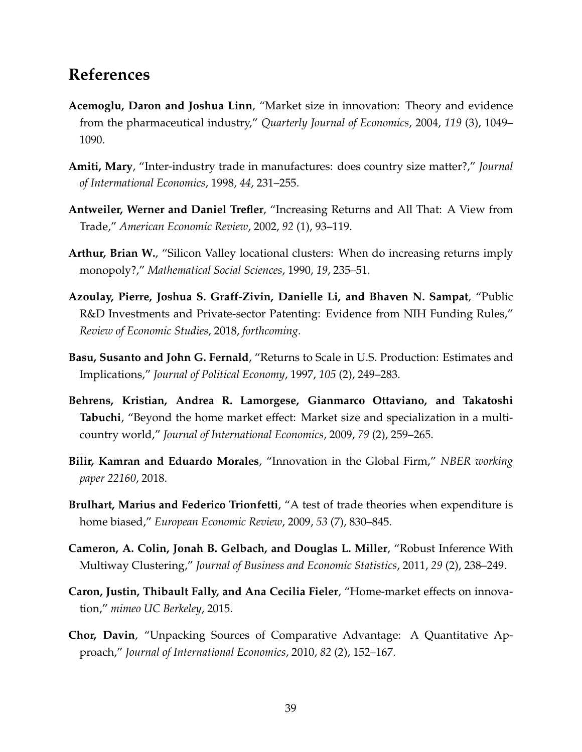## **References**

- <span id="page-39-0"></span>**Acemoglu, Daron and Joshua Linn**, "Market size in innovation: Theory and evidence from the pharmaceutical industry," *Quarterly Journal of Economics*, 2004, *119* (3), 1049– 1090.
- <span id="page-39-2"></span>**Amiti, Mary**, "Inter-industry trade in manufactures: does country size matter?," *Journal of Intermational Economics*, 1998, *44*, 231–255.
- <span id="page-39-11"></span>**Antweiler, Werner and Daniel Trefler**, "Increasing Returns and All That: A View from Trade," *American Economic Review*, 2002, *92* (1), 93–119.
- <span id="page-39-9"></span>**Arthur, Brian W.**, "Silicon Valley locational clusters: When do increasing returns imply monopoly?," *Mathematical Social Sciences*, 1990, *19*, 235–51.
- <span id="page-39-8"></span>**Azoulay, Pierre, Joshua S. Graff-Zivin, Danielle Li, and Bhaven N. Sampat**, "Public R&D Investments and Private-sector Patenting: Evidence from NIH Funding Rules," *Review of Economic Studies*, 2018, *forthcoming.*
- <span id="page-39-10"></span>**Basu, Susanto and John G. Fernald**, "Returns to Scale in U.S. Production: Estimates and Implications," *Journal of Political Economy*, 1997, *105* (2), 249–283.
- <span id="page-39-1"></span>**Behrens, Kristian, Andrea R. Lamorgese, Gianmarco Ottaviano, and Takatoshi Tabuchi**, "Beyond the home market effect: Market size and specialization in a multicountry world," *Journal of International Economics*, 2009, *79* (2), 259–265.
- <span id="page-39-5"></span>**Bilir, Kamran and Eduardo Morales**, "Innovation in the Global Firm," *NBER working paper 22160*, 2018.
- <span id="page-39-4"></span>**Brulhart, Marius and Federico Trionfetti**, "A test of trade theories when expenditure is home biased," *European Economic Review*, 2009, *53* (7), 830–845.
- <span id="page-39-7"></span>**Cameron, A. Colin, Jonah B. Gelbach, and Douglas L. Miller**, "Robust Inference With Multiway Clustering," *Journal of Business and Economic Statistics*, 2011, *29* (2), 238–249.
- <span id="page-39-3"></span>**Caron, Justin, Thibault Fally, and Ana Cecilia Fieler**, "Home-market effects on innovation," *mimeo UC Berkeley*, 2015.
- <span id="page-39-6"></span>**Chor, Davin**, "Unpacking Sources of Comparative Advantage: A Quantitative Approach," *Journal of International Economics*, 2010, *82* (2), 152–167.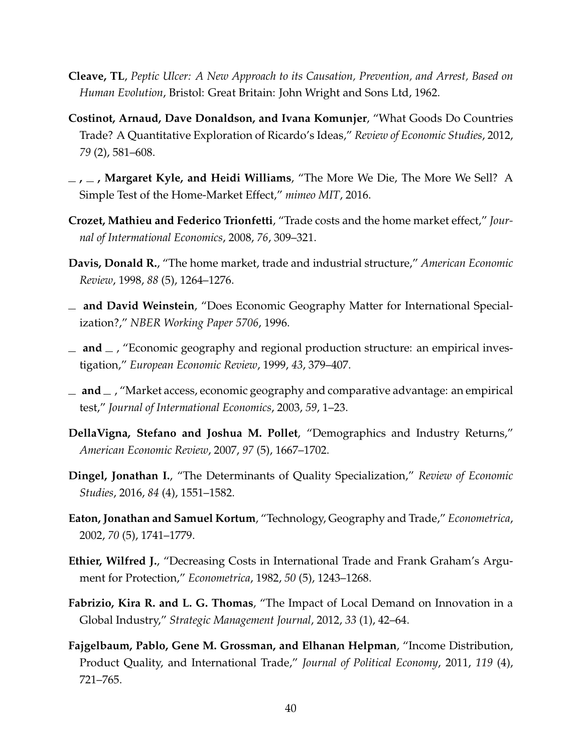- <span id="page-40-0"></span>**Cleave, TL**, *Peptic Ulcer: A New Approach to its Causation, Prevention, and Arrest, Based on Human Evolution*, Bristol: Great Britain: John Wright and Sons Ltd, 1962.
- <span id="page-40-12"></span>**Costinot, Arnaud, Dave Donaldson, and Ivana Komunjer**, "What Goods Do Countries Trade? A Quantitative Exploration of Ricardo's Ideas," *Review of Economic Studies*, 2012, *79* (2), 581–608.
- <span id="page-40-11"></span>**, , Margaret Kyle, and Heidi Williams**, "The More We Die, The More We Sell? A Simple Test of the Home-Market Effect," *mimeo MIT*, 2016.
- <span id="page-40-9"></span>**Crozet, Mathieu and Federico Trionfetti**, "Trade costs and the home market effect," *Journal of Intermational Economics*, 2008, *76*, 309–321.
- <span id="page-40-2"></span>**Davis, Donald R.**, "The home market, trade and industrial structure," *American Economic Review*, 1998, *88* (5), 1264–1276.
- <span id="page-40-6"></span>**and David Weinstein**, "Does Economic Geography Matter for International Specialization?," *NBER Working Paper 5706*, 1996.
- <span id="page-40-7"></span> $\Box$  **and**  $\Box$ , "Economic geography and regional production structure: an empirical investigation," *European Economic Review*, 1999, *43*, 379–407.
- <span id="page-40-8"></span> $\equiv$  **and**  $\equiv$  , "Market access, economic geography and comparative advantage: an empirical test," *Journal of Intermational Economics*, 2003, *59*, 1–23.
- <span id="page-40-1"></span>**DellaVigna, Stefano and Joshua M. Pollet**, "Demographics and Industry Returns," *American Economic Review*, 2007, *97* (5), 1667–1702.
- <span id="page-40-5"></span>**Dingel, Jonathan I.**, "The Determinants of Quality Specialization," *Review of Economic Studies*, 2016, *84* (4), 1551–1582.
- <span id="page-40-13"></span>**Eaton, Jonathan and Samuel Kortum**, "Technology, Geography and Trade," *Econometrica*, 2002, *70* (5), 1741–1779.
- <span id="page-40-3"></span>**Ethier, Wilfred J.**, "Decreasing Costs in International Trade and Frank Graham's Argument for Protection," *Econometrica*, 1982, *50* (5), 1243–1268.
- <span id="page-40-10"></span>**Fabrizio, Kira R. and L. G. Thomas**, "The Impact of Local Demand on Innovation in a Global Industry," *Strategic Management Journal*, 2012, *33* (1), 42–64.
- <span id="page-40-4"></span>**Fajgelbaum, Pablo, Gene M. Grossman, and Elhanan Helpman**, "Income Distribution, Product Quality, and International Trade," *Journal of Political Economy*, 2011, *119* (4), 721–765.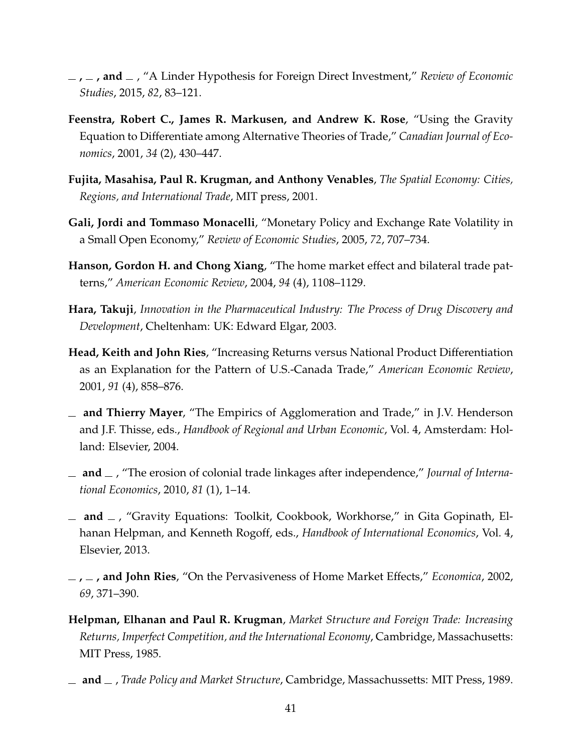- <span id="page-41-7"></span> $\mathbf{I}$ ,  $\mathbf{I}$ , **and**  $\mathbf{I}$ , "A Linder Hypothesis for Foreign Direct Investment," *Review of Economic Studies*, 2015, *82*, 83–121.
- <span id="page-41-6"></span>**Feenstra, Robert C., James R. Markusen, and Andrew K. Rose**, "Using the Gravity Equation to Differentiate among Alternative Theories of Trade," *Canadian Journal of Economics*, 2001, *34* (2), 430–447.
- <span id="page-41-2"></span>**Fujita, Masahisa, Paul R. Krugman, and Anthony Venables**, *The Spatial Economy: Cities, Regions, and International Trade*, MIT press, 2001.
- <span id="page-41-10"></span>**Gali, Jordi and Tommaso Monacelli**, "Monetary Policy and Exchange Rate Volatility in a Small Open Economy," *Review of Economic Studies*, 2005, *72*, 707–734.
- <span id="page-41-5"></span>**Hanson, Gordon H. and Chong Xiang**, "The home market effect and bilateral trade patterns," *American Economic Review*, 2004, *94* (4), 1108–1129.
- <span id="page-41-3"></span>**Hara, Takuji**, *Innovation in the Pharmaceutical Industry: The Process of Drug Discovery and Development*, Cheltenham: UK: Edward Elgar, 2003.
- <span id="page-41-8"></span>**Head, Keith and John Ries**, "Increasing Returns versus National Product Differentiation as an Explanation for the Pattern of U.S.-Canada Trade," *American Economic Review*, 2001, *91* (4), 858–876.
- <span id="page-41-9"></span>**and Thierry Mayer**, "The Empirics of Agglomeration and Trade," in J.V. Henderson and J.F. Thisse, eds., *Handbook of Regional and Urban Economic*, Vol. 4, Amsterdam: Holland: Elsevier, 2004.
- <span id="page-41-11"></span> $\Box$  **and**  $\Box$ , "The erosion of colonial trade linkages after independence," *Journal of International Economics*, 2010, *81* (1), 1–14.
- <span id="page-41-12"></span> $\equiv$  **and**  $\equiv$ , "Gravity Equations: Toolkit, Cookbook, Workhorse," in Gita Gopinath, Elhanan Helpman, and Kenneth Rogoff, eds., *Handbook of International Economics*, Vol. 4, Elsevier, 2013.
- <span id="page-41-4"></span>**, , and John Ries**, "On the Pervasiveness of Home Market Effects," *Economica*, 2002, *69*, 371–390.
- <span id="page-41-0"></span>**Helpman, Elhanan and Paul R. Krugman**, *Market Structure and Foreign Trade: Increasing Returns, Imperfect Competition, and the International Economy*, Cambridge, Massachusetts: MIT Press, 1985.
- <span id="page-41-1"></span>**and** , *Trade Policy and Market Structure*, Cambridge, Massachussetts: MIT Press, 1989.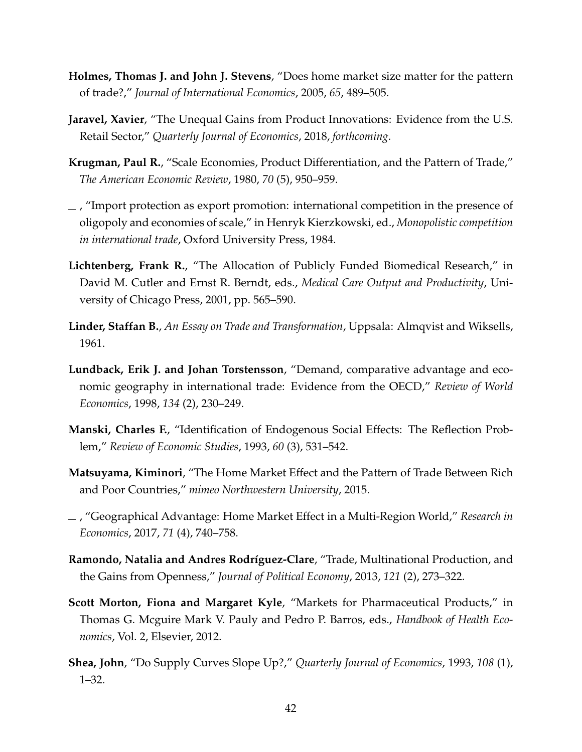- <span id="page-42-4"></span>**Holmes, Thomas J. and John J. Stevens**, "Does home market size matter for the pattern of trade?," *Journal of International Economics*, 2005, *65*, 489–505.
- <span id="page-42-3"></span>**Jaravel, Xavier**, "The Unequal Gains from Product Innovations: Evidence from the U.S. Retail Sector," *Quarterly Journal of Economics*, 2018, *forthcoming.*
- <span id="page-42-1"></span>**Krugman, Paul R.**, "Scale Economies, Product Differentiation, and the Pattern of Trade," *The American Economic Review*, 1980, *70* (5), 950–959.
- <span id="page-42-2"></span> $\sim$  , "Import protection as export promotion: international competition in the presence of oligopoly and economies of scale," in Henryk Kierzkowski, ed., *Monopolistic competition in international trade*, Oxford University Press, 1984.
- <span id="page-42-8"></span>**Lichtenberg, Frank R.**, "The Allocation of Publicly Funded Biomedical Research," in David M. Cutler and Ernst R. Berndt, eds., *Medical Care Output and Productivity*, University of Chicago Press, 2001, pp. 565–590.
- <span id="page-42-0"></span>**Linder, Staffan B.**, *An Essay on Trade and Transformation*, Uppsala: Almqvist and Wiksells, 1961.
- <span id="page-42-6"></span>**Lundback, Erik J. and Johan Torstensson**, "Demand, comparative advantage and economic geography in international trade: Evidence from the OECD," *Review of World Economics*, 1998, *134* (2), 230–249.
- <span id="page-42-11"></span>**Manski, Charles F.**, "Identification of Endogenous Social Effects: The Reflection Problem," *Review of Economic Studies*, 1993, *60* (3), 531–542.
- <span id="page-42-5"></span>**Matsuyama, Kiminori**, "The Home Market Effect and the Pattern of Trade Between Rich and Poor Countries," *mimeo Northwestern University*, 2015.
- <span id="page-42-10"></span>, "Geographical Advantage: Home Market Effect in a Multi-Region World," *Research in Economics*, 2017, *71* (4), 740–758.
- <span id="page-42-7"></span>**Ramondo, Natalia and Andres Rodríguez-Clare**, "Trade, Multinational Production, and the Gains from Openness," *Journal of Political Economy*, 2013, *121* (2), 273–322.
- <span id="page-42-9"></span>**Scott Morton, Fiona and Margaret Kyle**, "Markets for Pharmaceutical Products," in Thomas G. Mcguire Mark V. Pauly and Pedro P. Barros, eds., *Handbook of Health Economics*, Vol. 2, Elsevier, 2012.
- <span id="page-42-12"></span>**Shea, John**, "Do Supply Curves Slope Up?," *Quarterly Journal of Economics*, 1993, *108* (1), 1–32.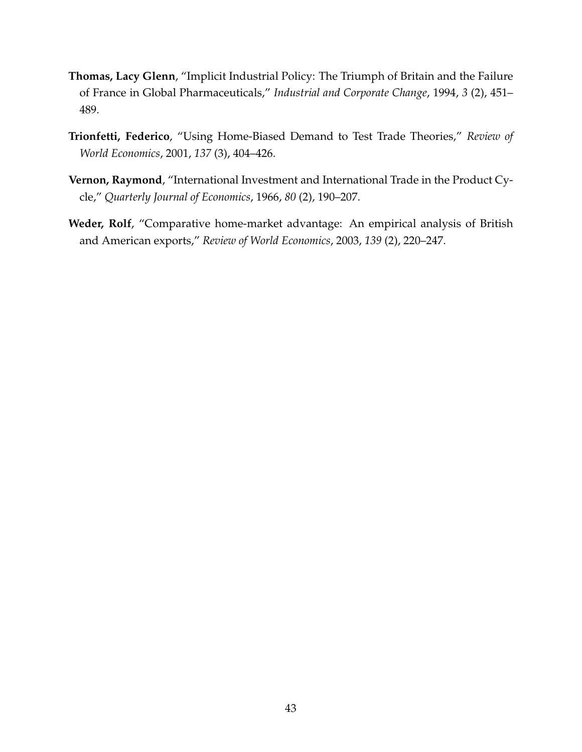- <span id="page-43-2"></span>**Thomas, Lacy Glenn**, "Implicit Industrial Policy: The Triumph of Britain and the Failure of France in Global Pharmaceuticals," *Industrial and Corporate Change*, 1994, *3* (2), 451– 489.
- <span id="page-43-0"></span>**Trionfetti, Federico**, "Using Home-Biased Demand to Test Trade Theories," *Review of World Economics*, 2001, *137* (3), 404–426.
- <span id="page-43-3"></span>**Vernon, Raymond**, "International Investment and International Trade in the Product Cycle," *Quarterly Journal of Economics*, 1966, *80* (2), 190–207.
- <span id="page-43-1"></span>**Weder, Rolf**, "Comparative home-market advantage: An empirical analysis of British and American exports," *Review of World Economics*, 2003, *139* (2), 220–247.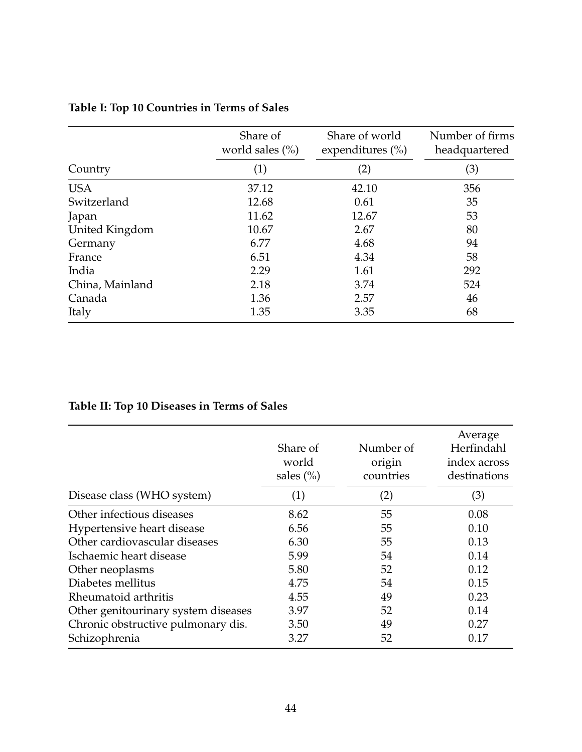|                 | Share of<br>world sales $(\% )$ | Share of world<br>expenditures $(\% )$ | Number of firms<br>headquartered |
|-----------------|---------------------------------|----------------------------------------|----------------------------------|
| Country         | $\left( 1\right)$               | $\left( 2\right)$                      | (3)                              |
| <b>USA</b>      | 37.12                           | 42.10                                  | 356                              |
| Switzerland     | 12.68                           | 0.61                                   | 35                               |
| Japan           | 11.62                           | 12.67                                  | 53                               |
| United Kingdom  | 10.67                           | 2.67                                   | 80                               |
| Germany         | 6.77                            | 4.68                                   | 94                               |
| France          | 6.51                            | 4.34                                   | 58                               |
| India           | 2.29                            | 1.61                                   | 292                              |
| China, Mainland | 2.18                            | 3.74                                   | 524                              |
| Canada          | 1.36                            | 2.57                                   | 46                               |
| Italy           | 1.35                            | 3.35                                   | 68                               |
|                 |                                 |                                        |                                  |

## **Table I: Top 10 Countries in Terms of Sales**

### **Table II: Top 10 Diseases in Terms of Sales**

|                                     | Share of<br>world<br>sales $(\% )$ | Number of<br>origin<br>countries | Average<br>Herfindahl<br>index across<br>destinations |
|-------------------------------------|------------------------------------|----------------------------------|-------------------------------------------------------|
| Disease class (WHO system)          | (1)                                | (2)                              | (3)                                                   |
| Other infectious diseases           | 8.62                               | 55                               | 0.08                                                  |
| Hypertensive heart disease          | 6.56                               | 55                               | 0.10                                                  |
| Other cardiovascular diseases       | 6.30                               | 55                               | 0.13                                                  |
| Ischaemic heart disease             | 5.99                               | 54                               | 0.14                                                  |
| Other neoplasms                     | 5.80                               | 52                               | 0.12                                                  |
| Diabetes mellitus                   | 4.75                               | 54                               | 0.15                                                  |
| Rheumatoid arthritis                | 4.55                               | 49                               | 0.23                                                  |
| Other genitourinary system diseases | 3.97                               | 52                               | 0.14                                                  |
| Chronic obstructive pulmonary dis.  | 3.50                               | 49                               | 0.27                                                  |
| Schizophrenia                       | 3.27                               | 52                               | 0.17                                                  |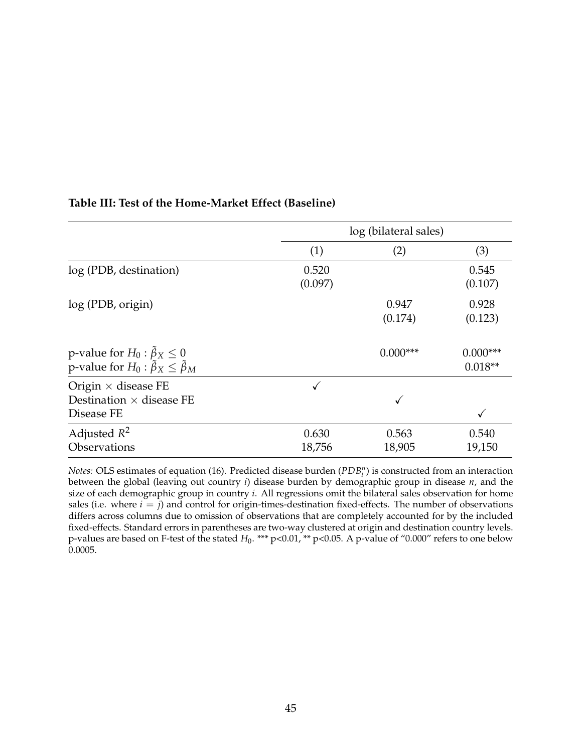|                                                                                                      | log (bilateral sales) |                  |                         |
|------------------------------------------------------------------------------------------------------|-----------------------|------------------|-------------------------|
|                                                                                                      | (1)                   | (2)              | (3)                     |
| log (PDB, destination)                                                                               | 0.520<br>(0.097)      |                  | 0.545<br>(0.107)        |
| log (PDB, origin)                                                                                    |                       | 0.947<br>(0.174) | 0.928<br>(0.123)        |
| p-value for $H_0: \tilde{\beta}_X \leq 0$<br>p-value for $H_0: \tilde{\beta}_X \leq \tilde{\beta}_M$ |                       | $0.000***$       | $0.000***$<br>$0.018**$ |
| Origin $\times$ disease FE<br>Destination $\times$ disease FE<br>Disease FE                          | ✓                     |                  |                         |
| Adjusted $R^2$<br>Observations                                                                       | 0.630<br>18,756       | 0.563<br>18,905  | 0.540<br>19,150         |

#### **Table III: Test of the Home-Market Effect (Baseline)**

*Notes:* OLS estimates of equation (16). Predicted disease burden (*PDB<sup>n</sup> i* ) is constructed from an interaction between the global (leaving out country *i*) disease burden by demographic group in disease *n*, and the size of each demographic group in country *i*. All regressions omit the bilateral sales observation for home sales (i.e. where  $i = j$ ) and control for origin-times-destination fixed-effects. The number of observations differs across columns due to omission of observations that are completely accounted for by the included fixed-effects. Standard errors in parentheses are two-way clustered at origin and destination country levels. p-values are based on F-test of the stated *H*0. \*\*\* p<0.01, \*\* p<0.05. A p-value of "0.000" refers to one below 0.0005.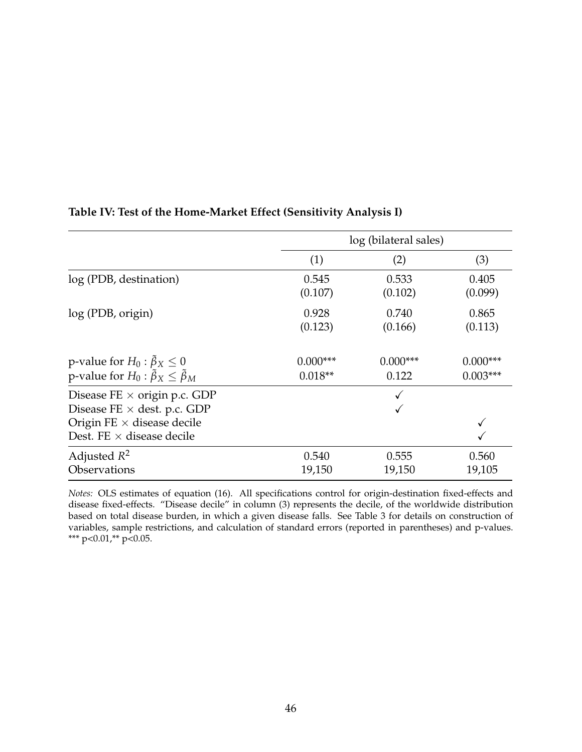|                                                                                                                                                    | log (bilateral sales) |            |            |
|----------------------------------------------------------------------------------------------------------------------------------------------------|-----------------------|------------|------------|
|                                                                                                                                                    | (1)                   | (2)        | (3)        |
| log (PDB, destination)                                                                                                                             | 0.545                 | 0.533      | 0.405      |
|                                                                                                                                                    | (0.107)               | (0.102)    | (0.099)    |
| log (PDB, origin)                                                                                                                                  | 0.928                 | 0.740      | 0.865      |
|                                                                                                                                                    | (0.123)               | (0.166)    | (0.113)    |
| p-value for $H_0: \tilde{\beta}_X \leq 0$                                                                                                          | $0.000***$            | $0.000***$ | $0.000***$ |
| p-value for $H_0: \tilde{\beta}_X \leq \tilde{\beta}_M$                                                                                            | $0.018**$             | 0.122      | $0.003***$ |
| Disease $FE \times$ origin p.c. GDP<br>Disease $FE \times dest. p.c. GDP$<br>Origin $FE \times$ disease decile<br>Dest. FE $\times$ disease decile |                       |            |            |
| Adjusted $R^2$                                                                                                                                     | 0.540                 | 0.555      | 0.560      |
| Observations                                                                                                                                       | 19,150                | 19,150     | 19,105     |

#### **Table IV: Test of the Home-Market Effect (Sensitivity Analysis I)**

*Notes:* OLS estimates of equation (16). All specifications control for origin-destination fixed-effects and disease fixed-effects. "Disease decile" in column (3) represents the decile, of the worldwide distribution based on total disease burden, in which a given disease falls. See Table 3 for details on construction of variables, sample restrictions, and calculation of standard errors (reported in parentheses) and p-values. \*\*\*  $p<0.01$ ,\*\*  $p<0.05$ .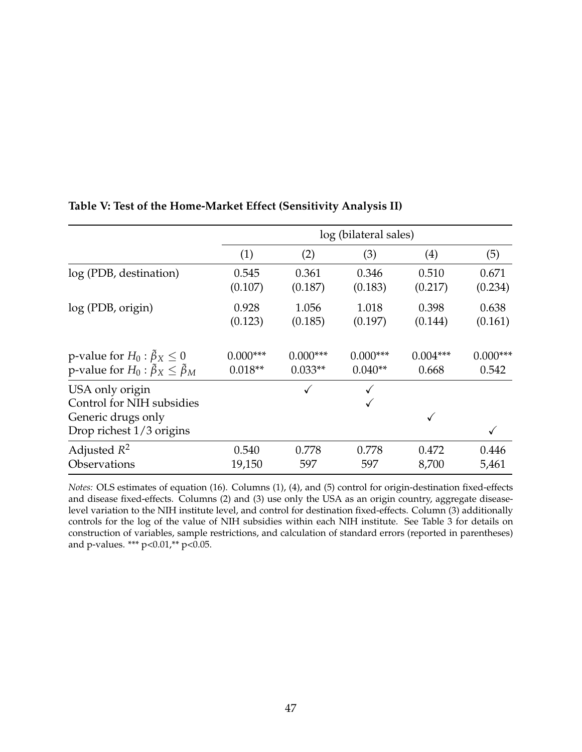|                                                                                                  |            | log (bilateral sales) |            |            |            |
|--------------------------------------------------------------------------------------------------|------------|-----------------------|------------|------------|------------|
|                                                                                                  | (1)        | (2)                   | (3)        | (4)        | (5)        |
| log (PDB, destination)                                                                           | 0.545      | 0.361                 | 0.346      | 0.510      | 0.671      |
|                                                                                                  | (0.107)    | (0.187)               | (0.183)    | (0.217)    | (0.234)    |
| log (PDB, origin)                                                                                | 0.928      | 1.056                 | 1.018      | 0.398      | 0.638      |
|                                                                                                  | (0.123)    | (0.185)               | (0.197)    | (0.144)    | (0.161)    |
| p-value for $H_0: \tilde{\beta}_X \leq 0$                                                        | $0.000***$ | $0.000***$            | $0.000***$ | $0.004***$ | $0.000***$ |
| p-value for $H_0: \tilde{\beta}_X \leq \tilde{\beta}_M$                                          | $0.018**$  | $0.033**$             | $0.040**$  | 0.668      | 0.542      |
| USA only origin<br>Control for NIH subsidies<br>Generic drugs only<br>Drop richest $1/3$ origins |            | ✓                     |            | ✓          |            |
| Adjusted $R^2$                                                                                   | 0.540      | 0.778                 | 0.778      | 0.472      | 0.446      |
| Observations                                                                                     | 19,150     | 597                   | 597        | 8,700      | 5,461      |

#### **Table V: Test of the Home-Market Effect (Sensitivity Analysis II)**

*Notes:* OLS estimates of equation (16). Columns (1), (4), and (5) control for origin-destination fixed-effects and disease fixed-effects. Columns (2) and (3) use only the USA as an origin country, aggregate diseaselevel variation to the NIH institute level, and control for destination fixed-effects. Column (3) additionally controls for the log of the value of NIH subsidies within each NIH institute. See Table 3 for details on construction of variables, sample restrictions, and calculation of standard errors (reported in parentheses) and p-values. \*\*\* p<0.01,\*\* p<0.05.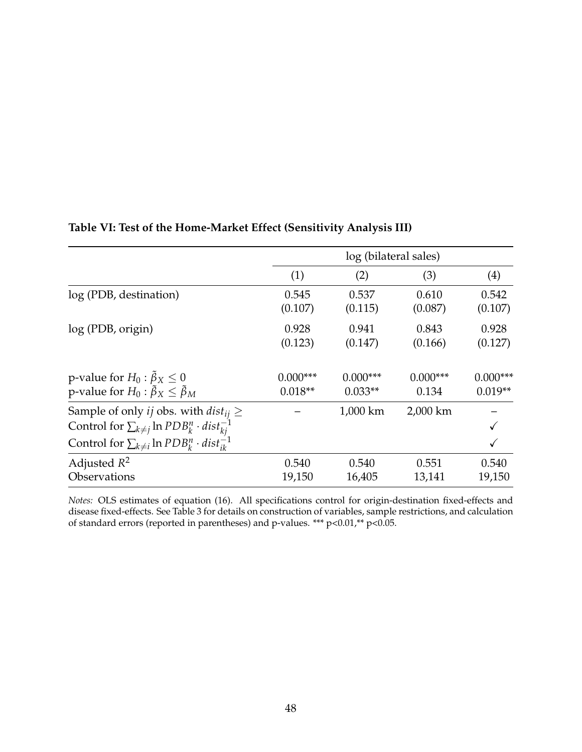|                                                                                                                      | log (bilateral sales) |            |            |            |
|----------------------------------------------------------------------------------------------------------------------|-----------------------|------------|------------|------------|
|                                                                                                                      | (1)                   | (2)        | (3)        | (4)        |
| log (PDB, destination)                                                                                               | 0.545                 | 0.537      | 0.610      | 0.542      |
|                                                                                                                      | (0.107)               | (0.115)    | (0.087)    | (0.107)    |
| log (PDB, origin)                                                                                                    | 0.928                 | 0.941      | 0.843      | 0.928      |
|                                                                                                                      | (0.123)               | (0.147)    | (0.166)    | (0.127)    |
| p-value for $H_0: \tilde{\beta}_X \leq 0$                                                                            | $0.000***$            | $0.000***$ | $0.000***$ | $0.000***$ |
| p-value for $H_0: \tilde{\beta}_X \leq \tilde{\beta}_M$                                                              | $0.018**$             | $0.033**$  | 0.134      | $0.019**$  |
| Sample of only <i>ij</i> obs. with $dist_{ij} \geq$<br>Control for $\sum_{k\neq j} \ln PDB_k^n \cdot dist_{ki}^{-1}$ |                       | 1,000 km   | 2,000 km   |            |
| Control for $\sum_{k\neq i} \ln PDB_k^n \cdot dist_{ik}^{-1}$                                                        |                       |            |            |            |
| Adjusted $R^2$                                                                                                       | 0.540                 | 0.540      | 0.551      | 0.540      |
| Observations                                                                                                         | 19,150                | 16,405     | 13,141     | 19,150     |

#### **Table VI: Test of the Home-Market Effect (Sensitivity Analysis III)**

*Notes:* OLS estimates of equation (16). All specifications control for origin-destination fixed-effects and disease fixed-effects. See Table 3 for details on construction of variables, sample restrictions, and calculation of standard errors (reported in parentheses) and p-values. \*\*\* p<0.01,\*\* p<0.05.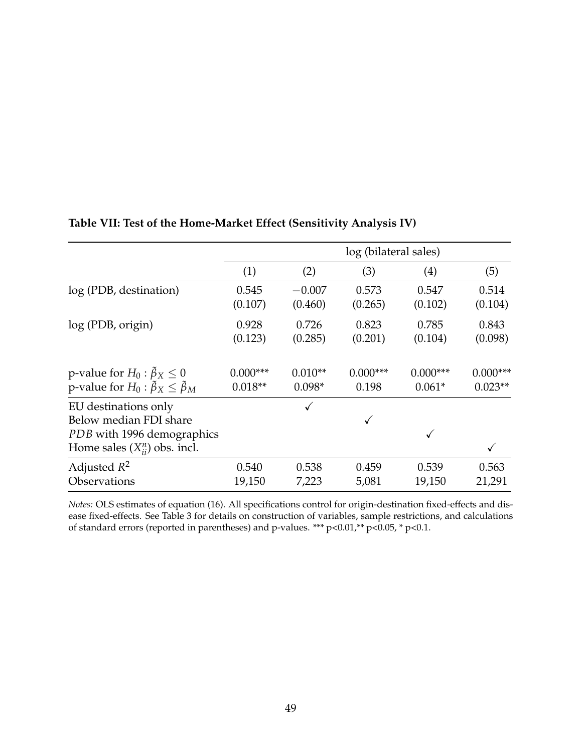|                                                                                                                    |            | log (bilateral sales) |            |            |            |  |
|--------------------------------------------------------------------------------------------------------------------|------------|-----------------------|------------|------------|------------|--|
|                                                                                                                    | (1)        | (2)                   | (3)        | (4)        | (5)        |  |
| log (PDB, destination)                                                                                             | 0.545      | $-0.007$              | 0.573      | 0.547      | 0.514      |  |
|                                                                                                                    | (0.107)    | (0.460)               | (0.265)    | (0.102)    | (0.104)    |  |
| log (PDB, origin)                                                                                                  | 0.928      | 0.726                 | 0.823      | 0.785      | 0.843      |  |
|                                                                                                                    | (0.123)    | (0.285)               | (0.201)    | (0.104)    | (0.098)    |  |
| p-value for $H_0: \tilde{\beta}_X \leq 0$                                                                          | $0.000***$ | $0.010**$             | $0.000***$ | $0.000***$ | $0.000***$ |  |
| p-value for $H_0: \tilde{\beta}_X \leq \tilde{\beta}_M$                                                            | $0.018**$  | $0.098*$              | 0.198      | $0.061*$   | $0.023**$  |  |
| EU destinations only<br>Below median FDI share<br>PDB with 1996 demographics<br>Home sales $(X_{ii}^n)$ obs. incl. |            | ✓                     | ✓          | √          |            |  |
| Adjusted $R^2$                                                                                                     | 0.540      | 0.538                 | 0.459      | 0.539      | 0.563      |  |
| Observations                                                                                                       | 19,150     | 7,223                 | 5,081      | 19,150     | 21,291     |  |

#### **Table VII: Test of the Home-Market Effect (Sensitivity Analysis IV)**

*Notes:* OLS estimates of equation (16). All specifications control for origin-destination fixed-effects and disease fixed-effects. See Table 3 for details on construction of variables, sample restrictions, and calculations of standard errors (reported in parentheses) and p-values. \*\*\*  $p<0.01$ , \*\*  $p<0.05$ , \*  $p<0.1$ .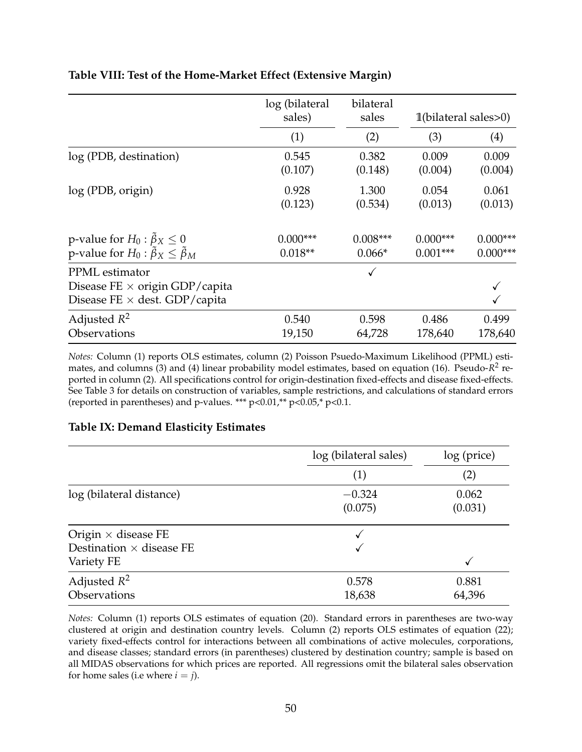|                                                                                                         | log (bilateral<br>sales) | bilateral<br>sales | 1(bilateral sales>0) |            |
|---------------------------------------------------------------------------------------------------------|--------------------------|--------------------|----------------------|------------|
|                                                                                                         | (1)                      | (2)                | (3)                  | (4)        |
| log (PDB, destination)                                                                                  | 0.545                    | 0.382              | 0.009                | 0.009      |
|                                                                                                         | (0.107)                  | (0.148)            | (0.004)              | (0.004)    |
| log (PDB, origin)                                                                                       | 0.928                    | 1.300              | 0.054                | 0.061      |
|                                                                                                         | (0.123)                  | (0.534)            | (0.013)              | (0.013)    |
| p-value for $H_0: \tilde{\beta}_X \leq 0$                                                               | $0.000***$               | $0.008***$         | $0.000***$           | $0.000***$ |
| p-value for $H_0: \tilde{\beta}_X \leq \tilde{\beta}_M$                                                 | $0.018**$                | $0.066*$           | $0.001***$           | $0.000***$ |
| <b>PPML</b> estimator<br>Disease $FE \times$ origin GDP/capita<br>Disease $FE \times dest$ . GDP/capita |                          | ✓                  |                      |            |
| Adjusted $R^2$                                                                                          | 0.540                    | 0.598              | 0.486                | 0.499      |
| Observations                                                                                            | 19,150                   | 64,728             | 178,640              | 178,640    |

#### **Table VIII: Test of the Home-Market Effect (Extensive Margin)**

*Notes:* Column (1) reports OLS estimates, column (2) Poisson Psuedo-Maximum Likelihood (PPML) estimates, and columns (3) and (4) linear probability model estimates, based on equation (16). Pseudo-R<sup>2</sup> reported in column (2). All specifications control for origin-destination fixed-effects and disease fixed-effects. See Table 3 for details on construction of variables, sample restrictions, and calculations of standard errors (reported in parentheses) and p-values. \*\*\*  $p<0.01$ ,\*\*  $p<0.05$ ,\*  $p<0.1$ .

#### **Table IX: Demand Elasticity Estimates**

|                                 | log (bilateral sales) | log (price) |
|---------------------------------|-----------------------|-------------|
|                                 | (1)                   | (2)         |
| log (bilateral distance)        | $-0.324$              | 0.062       |
|                                 | (0.075)               | (0.031)     |
| Origin $\times$ disease FE      |                       |             |
| Destination $\times$ disease FE |                       |             |
| Variety FE                      |                       |             |
| Adjusted $R^2$                  | 0.578                 | 0.881       |
| Observations                    | 18,638                | 64,396      |

*Notes:* Column (1) reports OLS estimates of equation (20). Standard errors in parentheses are two-way clustered at origin and destination country levels. Column (2) reports OLS estimates of equation (22); variety fixed-effects control for interactions between all combinations of active molecules, corporations, and disease classes; standard errors (in parentheses) clustered by destination country; sample is based on all MIDAS observations for which prices are reported. All regressions omit the bilateral sales observation for home sales (i.e where  $i = j$ ).